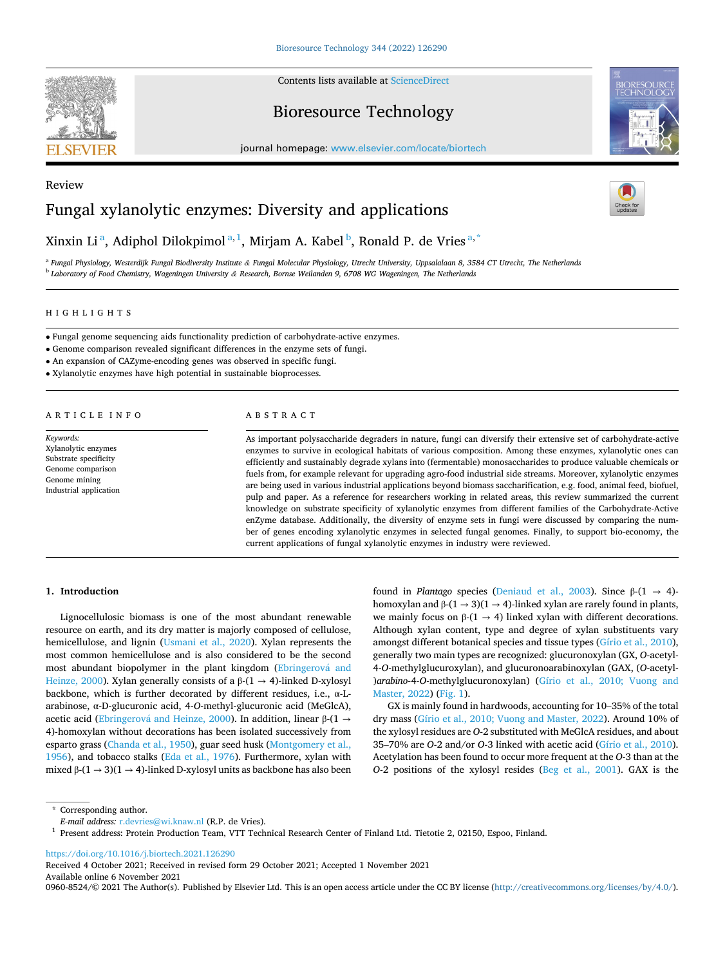

Contents lists available at [ScienceDirect](www.sciencedirect.com/science/journal/09608524)

# Bioresource Technology

journal homepage: [www.elsevier.com/locate/biortech](https://www.elsevier.com/locate/biortech) 



# Review Fungal xylanolytic enzymes: Diversity and applications



# Xinxin Li<sup>a</sup>, Adiphol Dilokpimol<sup>a, 1</sup>, Mirjam A. Kabel<sup>b</sup>, Ronald P. de Vries<sup>a, \*</sup>

<sup>a</sup> *Fungal Physiology, Westerdijk Fungal Biodiversity Institute & Fungal Molecular Physiology, Utrecht University, Uppsalalaan 8, 3584 CT Utrecht, The Netherlands* <sup>b</sup> *Laboratory of Food Chemistry, Wageningen University & Research, Bornse Weilanden 9, 6708 WG Wageningen, The Netherlands* 

HIGHLIGHTS

• Fungal genome sequencing aids functionality prediction of carbohydrate-active enzymes.

• Genome comparison revealed significant differences in the enzyme sets of fungi.

• An expansion of CAZyme-encoding genes was observed in specific fungi.

• Xylanolytic enzymes have high potential in sustainable bioprocesses.

ARTICLE INFO

*Keywords:*  Xylanolytic enzymes Substrate specificity Genome comparison Genome mining Industrial application

# ABSTRACT

As important polysaccharide degraders in nature, fungi can diversify their extensive set of carbohydrate-active enzymes to survive in ecological habitats of various composition. Among these enzymes, xylanolytic ones can efficiently and sustainably degrade xylans into (fermentable) monosaccharides to produce valuable chemicals or fuels from, for example relevant for upgrading agro-food industrial side streams. Moreover, xylanolytic enzymes are being used in various industrial applications beyond biomass saccharification, e.g. food, animal feed, biofuel, pulp and paper. As a reference for researchers working in related areas, this review summarized the current knowledge on substrate specificity of xylanolytic enzymes from different families of the Carbohydrate-Active enZyme database. Additionally, the diversity of enzyme sets in fungi were discussed by comparing the number of genes encoding xylanolytic enzymes in selected fungal genomes. Finally, to support bio-economy, the current applications of fungal xylanolytic enzymes in industry were reviewed.

# **1. Introduction**

Lignocellulosic biomass is one of the most abundant renewable resource on earth, and its dry matter is majorly composed of cellulose, hemicellulose, and lignin [\(Usmani et al., 2020](#page-8-0)). Xylan represents the most common hemicellulose and is also considered to be the second most abundant biopolymer in the plant kingdom (Ebringerová and [Heinze, 2000\)](#page-7-0). Xylan generally consists of a  $\beta$ -(1 → 4)-linked D-xylosyl backbone, which is further decorated by different residues, i.e., α-Larabinose, α-D-glucuronic acid, 4-*O*-methyl-glucuronic acid (MeGlcA), acetic acid (Ebringerová and Heinze, 2000). In addition, linear β-(1  $\rightarrow$ 4)-homoxylan without decorations has been isolated successively from esparto grass [\(Chanda et al., 1950](#page-6-0)), guar seed husk ([Montgomery et al.,](#page-8-0)  [1956\)](#page-8-0), and tobacco stalks [\(Eda et al., 1976\)](#page-7-0). Furthermore, xylan with mixed β-(1 → 3)(1 → 4)-linked D-xylosyl units as backbone has also been

found in *Plantago* species ([Deniaud et al., 2003](#page-7-0)). Since  $β-(1 \rightarrow 4)$ homoxylan and  $\beta$ -(1  $\rightarrow$  3)(1  $\rightarrow$  4)-linked xylan are rarely found in plants, we mainly focus on  $β-(1 \rightarrow 4)$  linked xylan with different decorations. Although xylan content, type and degree of xylan substituents vary amongst different botanical species and tissue types ([Gírio et al., 2010](#page-7-0)), generally two main types are recognized: glucuronoxylan (GX, *O*-acetyl-4-*O*-methylglucuroxylan), and glucuronoarabinoxylan (GAX, (*O*-acetyl- )*arabino*-4-*O*-methylglucuronoxylan) [\(Gírio et al., 2010; Vuong and](#page-7-0)  [Master, 2022](#page-7-0)) [\(Fig. 1\)](#page-1-0).

GX is mainly found in hardwoods, accounting for 10–35% of the total dry mass [\(Gírio et al., 2010; Vuong and Master, 2022](#page-7-0)). Around 10% of the xylosyl residues are *O*-2 substituted with MeGlcA residues, and about 35–70% are *O*-2 and/or *O*-3 linked with acetic acid [\(Gírio et al., 2010](#page-7-0)). Acetylation has been found to occur more frequent at the *O*-3 than at the *O*-2 positions of the xylosyl resides [\(Beg et al., 2001](#page-6-0)). GAX is the

<https://doi.org/10.1016/j.biortech.2021.126290>

Available online 6 November 2021 Received 4 October 2021; Received in revised form 29 October 2021; Accepted 1 November 2021

0960-8524/© 2021 The Author(s). Published by Elsevier Ltd. This is an open access article under the CC BY license [\(http://creativecommons.org/licenses/by/4.0/\)](http://creativecommons.org/licenses/by/4.0/).

<sup>\*</sup> Corresponding author.<br> *E-mail address:* r.devries@wi.knaw.nl (R.P. de Vries).

<sup>&</sup>lt;sup>1</sup> Present address: Protein Production Team, VTT Technical Research Center of Finland Ltd. Tietotie 2, 02150, Espoo, Finland.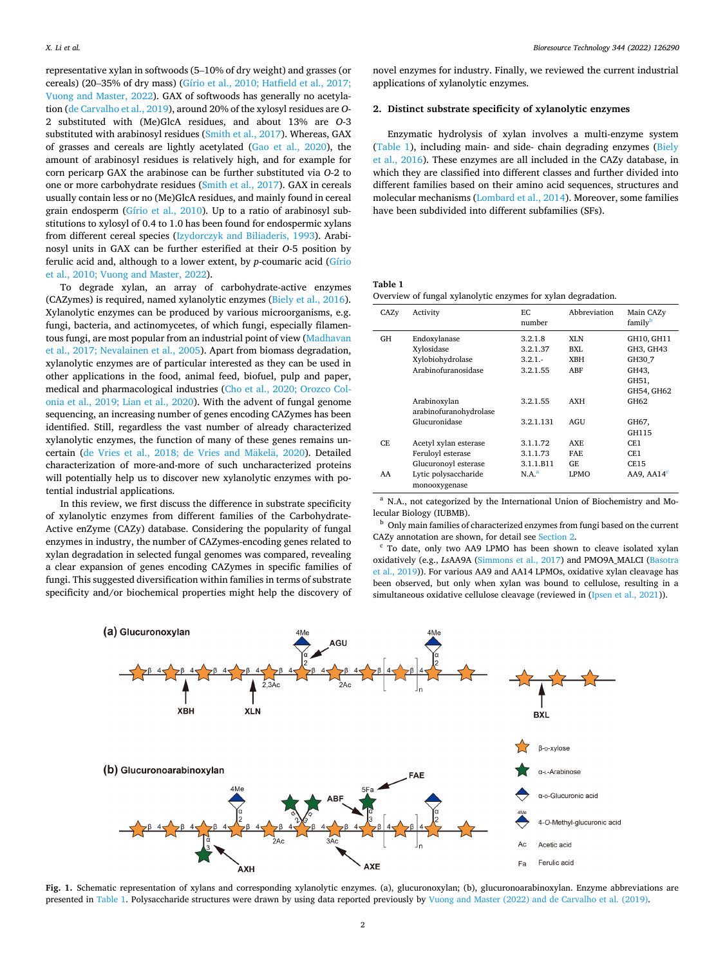<span id="page-1-0"></span>representative xylan in softwoods (5–10% of dry weight) and grasses (or cereals) (20–35% of dry mass) [\(Gírio et al., 2010; Hatfield et al., 2017;](#page-7-0)  [Vuong and Master, 2022\)](#page-7-0). GAX of softwoods has generally no acetylation [\(de Carvalho et al., 2019](#page-6-0)), around 20% of the xylosyl residues are *O*-2 substituted with (Me)GlcA residues, and about 13% are *O*-3 substituted with arabinosyl residues ([Smith et al., 2017](#page-8-0)). Whereas, GAX of grasses and cereals are lightly acetylated [\(Gao et al., 2020](#page-7-0)), the amount of arabinosyl residues is relatively high, and for example for corn pericarp GAX the arabinose can be further substituted via *O*-2 to one or more carbohydrate residues [\(Smith et al., 2017](#page-8-0)). GAX in cereals usually contain less or no (Me)GlcA residues, and mainly found in cereal grain endosperm ([Gírio et al., 2010](#page-7-0)). Up to a ratio of arabinosyl substitutions to xylosyl of 0.4 to 1.0 has been found for endospermic xylans from different cereal species [\(Izydorczyk and Biliaderis, 1993\)](#page-7-0). Arabinosyl units in GAX can be further esterified at their *O*-5 position by ferulic acid and, although to a lower extent, by *p*-coumaric acid ([Gírio](#page-7-0)  [et al., 2010; Vuong and Master, 2022\)](#page-7-0).

To degrade xylan, an array of carbohydrate-active enzymes (CAZymes) is required, named xylanolytic enzymes ([Biely et al., 2016](#page-6-0)). Xylanolytic enzymes can be produced by various microorganisms, e.g. fungi, bacteria, and actinomycetes, of which fungi, especially filamentous fungi, are most popular from an industrial point of view ([Madhavan](#page-8-0)  [et al., 2017; Nevalainen et al., 2005\)](#page-8-0). Apart from biomass degradation, xylanolytic enzymes are of particular interested as they can be used in other applications in the food, animal feed, biofuel, pulp and paper, medical and pharmacological industries ([Cho et al., 2020; Orozco Col](#page-6-0)[onia et al., 2019; Lian et al., 2020](#page-6-0)). With the advent of fungal genome sequencing, an increasing number of genes encoding CAZymes has been identified. Still, regardless the vast number of already characterized xylanolytic enzymes, the function of many of these genes remains uncertain ([de Vries et al., 2018; de Vries and M](#page-6-0)äkelä, 2020). Detailed characterization of more-and-more of such uncharacterized proteins will potentially help us to discover new xylanolytic enzymes with potential industrial applications.

In this review, we first discuss the difference in substrate specificity of xylanolytic enzymes from different families of the Carbohydrate-Active enZyme (CAZy) database. Considering the popularity of fungal enzymes in industry, the number of CAZymes-encoding genes related to xylan degradation in selected fungal genomes was compared, revealing a clear expansion of genes encoding CAZymes in specific families of fungi. This suggested diversification within families in terms of substrate specificity and/or biochemical properties might help the discovery of

novel enzymes for industry. Finally, we reviewed the current industrial applications of xylanolytic enzymes.

# **2. Distinct substrate specificity of xylanolytic enzymes**

Enzymatic hydrolysis of xylan involves a multi-enzyme system (Table 1), including main- and side- chain degrading enzymes ([Biely](#page-6-0)  [et al., 2016](#page-6-0)). These enzymes are all included in the CAZy database, in which they are classified into different classes and further divided into different families based on their amino acid sequences, structures and molecular mechanisms ([Lombard et al., 2014\)](#page-7-0). Moreover, some families have been subdivided into different subfamilies (SFs).

### **Table 1**

Overview of fungal xylanolytic enzymes for xylan degradation.

| CAZy | Activity                              | ЕC<br>number      | Abbreviation | Main CAZy<br>family <sup>b</sup> |  |  |
|------|---------------------------------------|-------------------|--------------|----------------------------------|--|--|
| GH   | Endoxylanase                          | 3.2.1.8           | XI.N         | GH10, GH11                       |  |  |
|      | Xylosidase                            | 3.2.1.37          | BXI.         | GH3, GH43                        |  |  |
|      | Xylobiohydrolase                      | $3.2.1 -$         | <b>XBH</b>   | GH307                            |  |  |
|      | Arabinofuranosidase                   | 3.2.1.55          | ABF          | GH43,                            |  |  |
|      |                                       |                   |              | GH51,                            |  |  |
|      |                                       |                   |              | GH54, GH62                       |  |  |
|      | Arabinoxylan                          | 3.2.1.55          | <b>AXH</b>   | GH62                             |  |  |
|      | arabinofuranohydrolase                |                   |              |                                  |  |  |
|      | Glucuronidase                         | 3.2.1.131         | AGU          | GH67,                            |  |  |
|      |                                       |                   |              | GH115                            |  |  |
| CE   | Acetyl xylan esterase                 | 3.1.1.72          | AXE          | CE1                              |  |  |
|      | Feruloyl esterase                     | 3.1.1.73          | FAE          | CE1                              |  |  |
|      | Glucuronoyl esterase                  | 3.1.1.B11         | GE           | <b>CE15</b>                      |  |  |
| AA   | Lytic polysaccharide<br>monooxygenase | N.A. <sup>a</sup> | LPMO         | AA9, AAI4 <sup>c</sup>           |  |  |

<sup>a</sup> N.A., not categorized by the International Union of Biochemistry and Mo-lecular Biology (IUBMB).

<sup>b</sup> Only main families of characterized enzymes from fungi based on the current CAZy annotation are shown, for detail see Section 2.<br><sup>c</sup> To date, only two AA9 LPMO has been shown to cleave isolated xylan

oxidatively (e.g., *Ls*AA9A ([Simmons et al., 2017\)](#page-8-0) and PMO9A\_MALCI [\(Basotra](#page-6-0)  [et al., 2019\)](#page-6-0)). For various AA9 and AA14 LPMOs, oxidative xylan cleavage has been observed, but only when xylan was bound to cellulose, resulting in a simultaneous oxidative cellulose cleavage (reviewed in [\(Ipsen et al., 2021](#page-7-0))).



**Fig. 1.** Schematic representation of xylans and corresponding xylanolytic enzymes. (a), glucuronoxylan; (b), glucuronoarabinoxylan. Enzyme abbreviations are presented in Table 1. Polysaccharide structures were drawn by using data reported previously by [Vuong and Master \(2022\) and de Carvalho et al. \(2019\).](#page-8-0)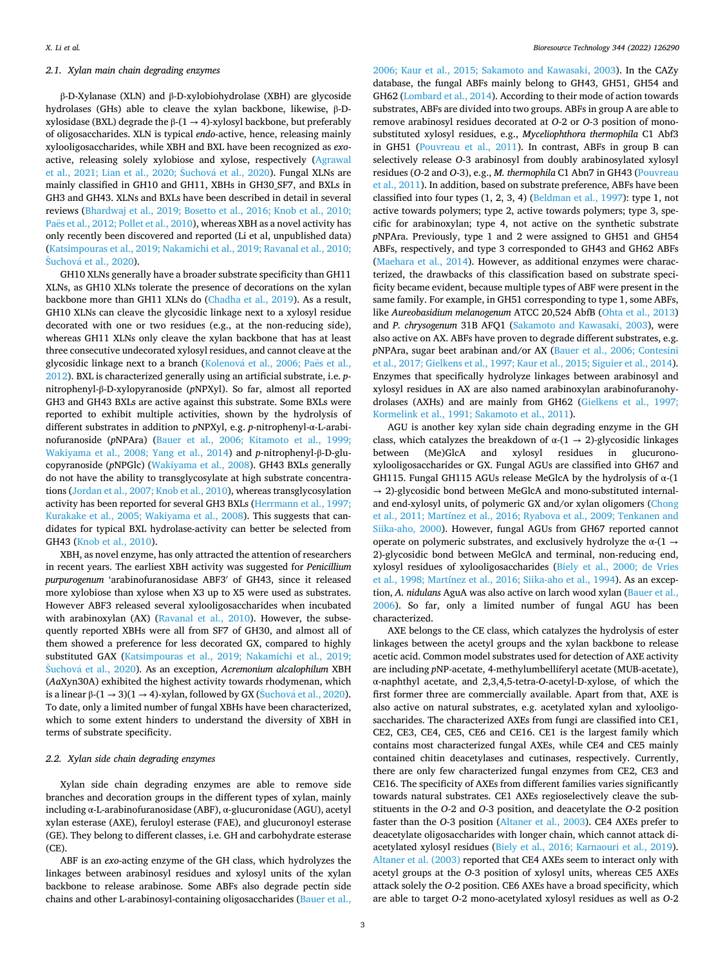## *2.1. Xylan main chain degrading enzymes*

β-D-Xylanase (XLN) and β-D-xylobiohydrolase (XBH) are glycoside hydrolases (GHs) able to cleave the xylan backbone, likewise, β-Dxylosidase (BXL) degrade the β-(1  $\rightarrow$  4)-xylosyl backbone, but preferably of oligosaccharides. XLN is typical *endo*-active, hence, releasing mainly xylooligosaccharides, while XBH and BXL have been recognized as *exo*active, releasing solely xylobiose and xylose, respectively [\(Agrawal](#page-6-0)  et al., 2021; Lian et al., 2020; Šuchová et al., 2020<mark>). Fungal XLNs are</mark> mainly classified in GH10 and GH11, XBHs in GH30\_SF7, and BXLs in GH3 and GH43. XLNs and BXLs have been described in detail in several reviews [\(Bhardwaj et al., 2019; Bosetto et al., 2016; Knob et al., 2010;](#page-6-0)  Paës et al., 2012; Pollet et al., 2010), whereas XBH as a novel activity has only recently been discovered and reported (Li et al, unpublished data) ([Katsimpouras et al., 2019; Nakamichi et al., 2019; Ravanal et al., 2010;](#page-7-0)  Šuchová et al., 2020).

GH10 XLNs generally have a broader substrate specificity than GH11 XLNs, as GH10 XLNs tolerate the presence of decorations on the xylan backbone more than GH11 XLNs do [\(Chadha et al., 2019](#page-6-0)). As a result, GH10 XLNs can cleave the glycosidic linkage next to a xylosyl residue decorated with one or two residues (e.g., at the non-reducing side), whereas GH11 XLNs only cleave the xylan backbone that has at least three consecutive undecorated xylosyl residues, and cannot cleave at the glycosidic linkage next to a branch (Kolenová [et al., 2006; Pa](#page-7-0)ës et al., [2012\)](#page-7-0). BXL is characterized generally using an artificial substrate, i.e. *p*nitrophenyl-β-D-xylopyranoside (*p*NPXyl). So far, almost all reported GH3 and GH43 BXLs are active against this substrate. Some BXLs were reported to exhibit multiple activities, shown by the hydrolysis of different substrates in addition to *p*NPXyl, e.g. *p*-nitrophenyl-α-L-arabinofuranoside (*p*NPAra) ([Bauer et al., 2006; Kitamoto et al., 1999;](#page-6-0)  [Wakiyama et al., 2008; Yang et al., 2014\)](#page-6-0) and *p*-nitrophenyl-β-D-glucopyranoside (*p*NPGlc) ([Wakiyama et al., 2008](#page-9-0)). GH43 BXLs generally do not have the ability to transglycosylate at high substrate concentrations [\(Jordan et al., 2007; Knob et al., 2010\)](#page-7-0), whereas transglycosylation activity has been reported for several GH3 BXLs [\(Herrmann et al., 1997;](#page-7-0)  [Kurakake et al., 2005; Wakiyama et al., 2008\)](#page-7-0). This suggests that candidates for typical BXL hydrolase-activity can better be selected from GH43 [\(Knob et al., 2010](#page-7-0)).

XBH, as novel enzyme, has only attracted the attention of researchers in recent years. The earliest XBH activity was suggested for *Penicillium purpurogenum* 'arabinofuranosidase ABF3′ of GH43, since it released more xylobiose than xylose when X3 up to X5 were used as substrates. However ABF3 released several xylooligosaccharides when incubated with arabinoxylan (AX) [\(Ravanal et al., 2010](#page-8-0)). However, the subsequently reported XBHs were all from SF7 of GH30, and almost all of them showed a preference for less decorated GX, compared to highly substituted GAX ([Katsimpouras et al., 2019; Nakamichi et al., 2019;](#page-7-0)  Šuchová et al., 2020). As an exception, *Acremonium alcalophilum XBH* (*Aa*Xyn30A) exhibited the highest activity towards rhodymenan, which is a linear β-(1 → 3)(1 → 4)-xylan, followed by GX (Šuchová [et al., 2020](#page-8-0)). To date, only a limited number of fungal XBHs have been characterized, which to some extent hinders to understand the diversity of XBH in terms of substrate specificity.

# *2.2. Xylan side chain degrading enzymes*

Xylan side chain degrading enzymes are able to remove side branches and decoration groups in the different types of xylan, mainly including α-L-arabinofuranosidase (ABF), α-glucuronidase (AGU), acetyl xylan esterase (AXE), feruloyl esterase (FAE), and glucuronoyl esterase (GE). They belong to different classes, i.e. GH and carbohydrate esterase (CE).

ABF is an *exo*-acting enzyme of the GH class, which hydrolyzes the linkages between arabinosyl residues and xylosyl units of the xylan backbone to release arabinose. Some ABFs also degrade pectin side chains and other L-arabinosyl-containing oligosaccharides ([Bauer et al.,](#page-6-0) 

[2006; Kaur et al., 2015; Sakamoto and Kawasaki, 2003](#page-6-0)). In the CAZy database, the fungal ABFs mainly belong to GH43, GH51, GH54 and GH62 ([Lombard et al., 2014](#page-7-0)). According to their mode of action towards substrates, ABFs are divided into two groups. ABFs in group A are able to remove arabinosyl residues decorated at *O*-2 or *O*-3 position of monosubstituted xylosyl residues, e.g., *Myceliophthora thermophila* C1 Abf3 in GH51 ([Pouvreau et al., 2011](#page-8-0)). In contrast, ABFs in group B can selectively release *O*-3 arabinosyl from doubly arabinosylated xylosyl residues (*O*-2 and *O*-3), e.g., *M. thermophila* C1 Abn7 in GH43 [\(Pouvreau](#page-8-0)  [et al., 2011\)](#page-8-0). In addition, based on substrate preference, ABFs have been classified into four types  $(1, 2, 3, 4)$  [\(Beldman et al., 1997\)](#page-6-0): type 1, not active towards polymers; type 2, active towards polymers; type 3, specific for arabinoxylan; type 4, not active on the synthetic substrate *p*NPAra. Previously, type 1 and 2 were assigned to GH51 and GH54 ABFs, respectively, and type 3 corresponded to GH43 and GH62 ABFs ([Maehara et al., 2014\)](#page-8-0). However, as additional enzymes were characterized, the drawbacks of this classification based on substrate specificity became evident, because multiple types of ABF were present in the same family. For example, in GH51 corresponding to type 1, some ABFs, like *Aureobasidium melanogenum* ATCC 20,524 AbfB ([Ohta et al., 2013\)](#page-8-0) and *P. chrysogenum* 31B AFQ1 ([Sakamoto and Kawasaki, 2003](#page-8-0)), were also active on AX. ABFs have proven to degrade different substrates, e.g. *p*NPAra, sugar beet arabinan and/or AX [\(Bauer et al., 2006; Contesini](#page-6-0)  [et al., 2017; Gielkens et al., 1997; Kaur et al., 2015; Siguier et al., 2014](#page-6-0)). Enzymes that specifically hydrolyze linkages between arabinosyl and xylosyl residues in AX are also named arabinoxylan arabinofuranohydrolases (AXHs) and are mainly from GH62 ([Gielkens et al., 1997;](#page-7-0)  [Kormelink et al., 1991; Sakamoto et al., 2011\)](#page-7-0).

AGU is another key xylan side chain degrading enzyme in the GH class, which catalyzes the breakdown of  $\alpha$ -(1  $\rightarrow$  2)-glycosidic linkages between (Me)GlcA and xylosyl residues in glucuronoxylooligosaccharides or GX. Fungal AGUs are classified into GH67 and GH115. Fungal GH115 AGUs release MeGlcA by the hydrolysis of α-(1  $\rightarrow$  2)-glycosidic bond between MeGlcA and mono-substituted internaland end-xylosyl units, of polymeric GX and/or xylan oligomers [\(Chong](#page-6-0)  [et al., 2011; Martínez et al., 2016; Ryabova et al., 2009; Tenkanen and](#page-6-0)  [Siika-aho, 2000\)](#page-6-0). However, fungal AGUs from GH67 reported cannot operate on polymeric substrates, and exclusively hydrolyze the  $\alpha$ -(1  $\rightarrow$ 2)-glycosidic bond between MeGlcA and terminal, non-reducing end, xylosyl residues of xylooligosaccharides ([Biely et al., 2000; de Vries](#page-6-0)  [et al., 1998; Martínez et al., 2016; Siika-aho et al., 1994\)](#page-6-0). As an exception, *A. nidulans* AguA was also active on larch wood xylan ([Bauer et al.,](#page-6-0)  [2006\)](#page-6-0). So far, only a limited number of fungal AGU has been characterized.

AXE belongs to the CE class, which catalyzes the hydrolysis of ester linkages between the acetyl groups and the xylan backbone to release acetic acid. Common model substrates used for detection of AXE activity are including *p*NP-acetate, 4-methylumbelliferyl acetate (MUB-acetate), α-naphthyl acetate, and 2,3,4,5-tetra-*O*-acetyl-D-xylose, of which the first former three are commercially available. Apart from that, AXE is also active on natural substrates, e.g. acetylated xylan and xylooligosaccharides. The characterized AXEs from fungi are classified into CE1, CE2, CE3, CE4, CE5, CE6 and CE16. CE1 is the largest family which contains most characterized fungal AXEs, while CE4 and CE5 mainly contained chitin deacetylases and cutinases, respectively. Currently, there are only few characterized fungal enzymes from CE2, CE3 and CE16. The specificity of AXEs from different families varies significantly towards natural substrates. CE1 AXEs regioselectively cleave the substituents in the *O*-2 and *O*-3 position, and deacetylate the *O*-2 position faster than the *O*-3 position [\(Altaner et al., 2003\)](#page-6-0). CE4 AXEs prefer to deacetylate oligosaccharides with longer chain, which cannot attack diacetylated xylosyl residues [\(Biely et al., 2016; Karnaouri et al., 2019](#page-6-0)). [Altaner et al. \(2003\)](#page-6-0) reported that CE4 AXEs seem to interact only with acetyl groups at the *O*-3 position of xylosyl units, whereas CE5 AXEs attack solely the *O*-2 position. CE6 AXEs have a broad specificity, which are able to target *O*-2 mono-acetylated xylosyl residues as well as *O*-2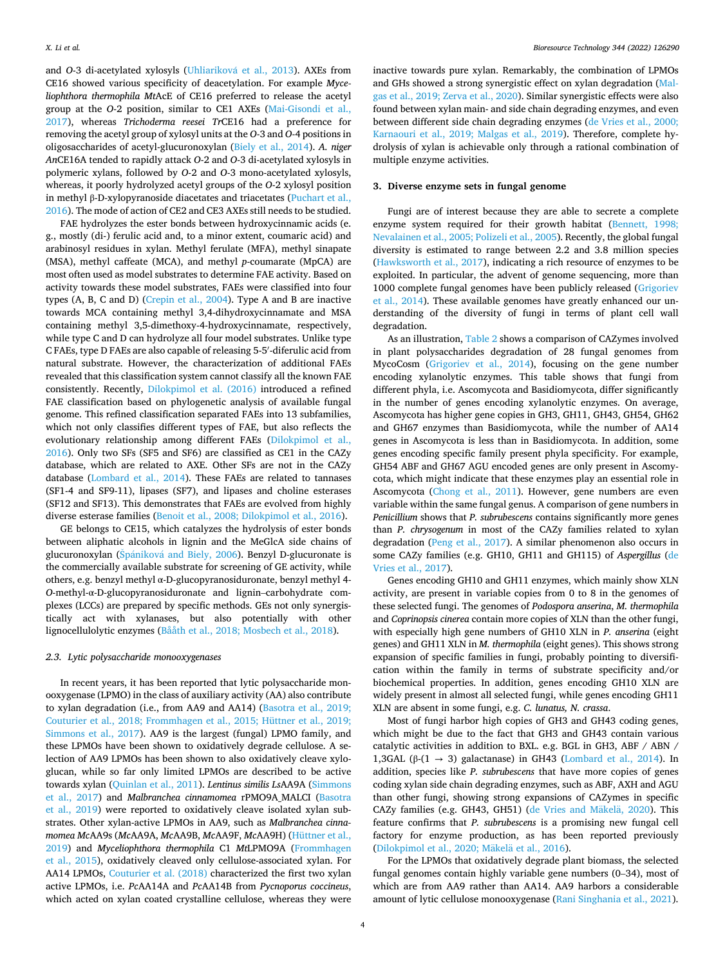and *O*-3 di-acetylated xylosyls (Uhliariková et al., 2013). AXEs from CE16 showed various specificity of deacetylation. For example *Myceliophthora thermophila Mt*AcE of CE16 preferred to release the acetyl group at the *O*-2 position, similar to CE1 AXEs ([Mai-Gisondi et al.,](#page-8-0)  [2017\)](#page-8-0), whereas *Trichoderma reesei Tr*CE16 had a preference for removing the acetyl group of xylosyl units at the *O*-3 and *O*-4 positions in oligosaccharides of acetyl-glucuronoxylan [\(Biely et al., 2014\)](#page-6-0). *A. niger An*CE16A tended to rapidly attack *O*-2 and *O*-3 di-acetylated xylosyls in polymeric xylans, followed by *O*-2 and *O*-3 mono-acetylated xylosyls, whereas, it poorly hydrolyzed acetyl groups of the *O*-2 xylosyl position in methyl β-D-xylopyranoside diacetates and triacetates [\(Puchart et al.,](#page-8-0)  [2016\)](#page-8-0). The mode of action of CE2 and CE3 AXEs still needs to be studied.

FAE hydrolyzes the ester bonds between hydroxycinnamic acids (e. g., mostly (di-) ferulic acid and, to a minor extent, coumaric acid) and arabinosyl residues in xylan. Methyl ferulate (MFA), methyl sinapate (MSA), methyl caffeate (MCA), and methyl *p*-coumarate (MpCA) are most often used as model substrates to determine FAE activity. Based on activity towards these model substrates, FAEs were classified into four types (A, B, C and D) ([Crepin et al., 2004](#page-6-0)). Type A and B are inactive towards MCA containing methyl 3,4-dihydroxycinnamate and MSA containing methyl 3,5-dimethoxy-4-hydroxycinnamate, respectively, while type C and D can hydrolyze all four model substrates. Unlike type C FAEs, type D FAEs are also capable of releasing 5-5′ -diferulic acid from natural substrate. However, the characterization of additional FAEs revealed that this classification system cannot classify all the known FAE consistently. Recently, [Dilokpimol et al. \(2016\)](#page-7-0) introduced a refined FAE classification based on phylogenetic analysis of available fungal genome. This refined classification separated FAEs into 13 subfamilies, which not only classifies different types of FAE, but also reflects the evolutionary relationship among different FAEs ([Dilokpimol et al.,](#page-7-0)  [2016\)](#page-7-0). Only two SFs (SF5 and SF6) are classified as CE1 in the CAZy database, which are related to AXE. Other SFs are not in the CAZy database ([Lombard et al., 2014](#page-7-0)). These FAEs are related to tannases (SF1-4 and SF9-11), lipases (SF7), and lipases and choline esterases (SF12 and SF13). This demonstrates that FAEs are evolved from highly diverse esterase families ([Benoit et al., 2008; Dilokpimol et al., 2016\)](#page-6-0).

GE belongs to CE15, which catalyzes the hydrolysis of ester bonds between aliphatic alcohols in lignin and the MeGlcA side chains of glucuronoxylan (Špániková [and Biely, 2006](#page-8-0)). Benzyl D-glucuronate is the commercially available substrate for screening of GE activity, while others, e.g. benzyl methyl α-D-glucopyranosiduronate, benzyl methyl 4- *O*-methyl-α-D-glucopyranosiduronate and lignin–carbohydrate complexes (LCCs) are prepared by specific methods. GEs not only synergistically act with xylanases, but also potentially with other lignocellulolytic enzymes [\(Bååth et al., 2018; Mosbech et al., 2018\)](#page-6-0).

## *2.3. Lytic polysaccharide monooxygenases*

In recent years, it has been reported that lytic polysaccharide monooxygenase (LPMO) in the class of auxiliary activity (AA) also contribute to xylan degradation (i.e., from AA9 and AA14) [\(Basotra et al., 2019;](#page-6-0)  [Couturier et al., 2018; Frommhagen et al., 2015; Hüttner et al., 2019;](#page-6-0)  [Simmons et al., 2017\)](#page-6-0). AA9 is the largest (fungal) LPMO family, and these LPMOs have been shown to oxidatively degrade cellulose. A selection of AA9 LPMOs has been shown to also oxidatively cleave xyloglucan, while so far only limited LPMOs are described to be active towards xylan ([Quinlan et al., 2011](#page-8-0)). *Lentinus similis Ls*AA9A ([Simmons](#page-8-0)  [et al., 2017\)](#page-8-0) and *Malbranchea cinnamomea* rPMO9A\_MALCI [\(Basotra](#page-6-0)  [et al., 2019](#page-6-0)) were reported to oxidatively cleave isolated xylan substrates. Other xylan-active LPMOs in AA9, such as *Malbranchea cinnamomea Mc*AA9s (*Mc*AA9A, *Mc*AA9B, *Mc*AA9F, *Mc*AA9H) ([Hüttner et al.,](#page-7-0)  [2019\)](#page-7-0) and *Myceliophthora thermophila* C1 *Mt*LPMO9A [\(Frommhagen](#page-7-0)  [et al., 2015\)](#page-7-0), oxidatively cleaved only cellulose-associated xylan. For AA14 LPMOs, [Couturier et al. \(2018\)](#page-6-0) characterized the first two xylan active LPMOs, i.e. *Pc*AA14A and *Pc*AA14B from *Pycnoporus coccineus*, which acted on xylan coated crystalline cellulose, whereas they were inactive towards pure xylan. Remarkably, the combination of LPMOs and GHs showed a strong synergistic effect on xylan degradation ([Mal](#page-8-0)[gas et al., 2019; Zerva et al., 2020\)](#page-8-0). Similar synergistic effects were also found between xylan main- and side chain degrading enzymes, and even between different side chain degrading enzymes ([de Vries et al., 2000;](#page-6-0)  [Karnaouri et al., 2019; Malgas et al., 2019\)](#page-6-0). Therefore, complete hydrolysis of xylan is achievable only through a rational combination of multiple enzyme activities.

## **3. Diverse enzyme sets in fungal genome**

Fungi are of interest because they are able to secrete a complete enzyme system required for their growth habitat [\(Bennett, 1998;](#page-6-0)  [Nevalainen et al., 2005; Polizeli et al., 2005\)](#page-6-0). Recently, the global fungal diversity is estimated to range between 2.2 and 3.8 million species ([Hawksworth et al., 2017](#page-7-0)), indicating a rich resource of enzymes to be exploited. In particular, the advent of genome sequencing, more than 1000 complete fungal genomes have been publicly released [\(Grigoriev](#page-7-0)  [et al., 2014\)](#page-7-0). These available genomes have greatly enhanced our understanding of the diversity of fungi in terms of plant cell wall degradation.

As an illustration, [Table 2](#page-4-0) shows a comparison of CAZymes involved in plant polysaccharides degradation of 28 fungal genomes from MycoCosm ([Grigoriev et al., 2014\)](#page-7-0), focusing on the gene number encoding xylanolytic enzymes. This table shows that fungi from different phyla, i.e. Ascomycota and Basidiomycota, differ significantly in the number of genes encoding xylanolytic enzymes. On average, Ascomycota has higher gene copies in GH3, GH11, GH43, GH54, GH62 and GH67 enzymes than Basidiomycota, while the number of AA14 genes in Ascomycota is less than in Basidiomycota. In addition, some genes encoding specific family present phyla specificity. For example, GH54 ABF and GH67 AGU encoded genes are only present in Ascomycota, which might indicate that these enzymes play an essential role in Ascomycota ([Chong et al., 2011](#page-6-0)). However, gene numbers are even variable within the same fungal genus. A comparison of gene numbers in *Penicillium* shows that *P. subrubescens* contains significantly more genes than *P. chrysogenum* in most of the CAZy families related to xylan degradation ([Peng et al., 2017](#page-8-0)). A similar phenomenon also occurs in some CAZy families (e.g. GH10, GH11 and GH115) of *Aspergillus* [\(de](#page-7-0)  [Vries et al., 2017](#page-7-0)).

Genes encoding GH10 and GH11 enzymes, which mainly show XLN activity, are present in variable copies from 0 to 8 in the genomes of these selected fungi. The genomes of *Podospora anserina*, *M. thermophila*  and *Coprinopsis cinerea* contain more copies of XLN than the other fungi, with especially high gene numbers of GH10 XLN in *P. anserina* (eight genes) and GH11 XLN in *M. thermophila* (eight genes). This shows strong expansion of specific families in fungi, probably pointing to diversification within the family in terms of substrate specificity and/or biochemical properties. In addition, genes encoding GH10 XLN are widely present in almost all selected fungi, while genes encoding GH11 XLN are absent in some fungi, e.g. *C. lunatus, N. crassa*.

Most of fungi harbor high copies of GH3 and GH43 coding genes, which might be due to the fact that GH3 and GH43 contain various catalytic activities in addition to BXL. e.g. BGL in GH3, ABF / ABN / 1,3GAL (β-(1  $\rightarrow$  3) galactanase) in GH43 [\(Lombard et al., 2014\)](#page-7-0). In addition, species like *P. subrubescens* that have more copies of genes coding xylan side chain degrading enzymes, such as ABF, AXH and AGU than other fungi, showing strong expansions of CAZymes in specific CAZy families (e.g. GH43, GH51) [\(de Vries and M](#page-6-0)äkelä, 2020). This feature confirms that *P. subrubescens* is a promising new fungal cell factory for enzyme production, as has been reported previously (Dilokpimol et al., 2020; Mäkelä et al., 2016).

For the LPMOs that oxidatively degrade plant biomass, the selected fungal genomes contain highly variable gene numbers (0–34), most of which are from AA9 rather than AA14. AA9 harbors a considerable amount of lytic cellulose monooxygenase [\(Rani Singhania et al., 2021](#page-8-0)).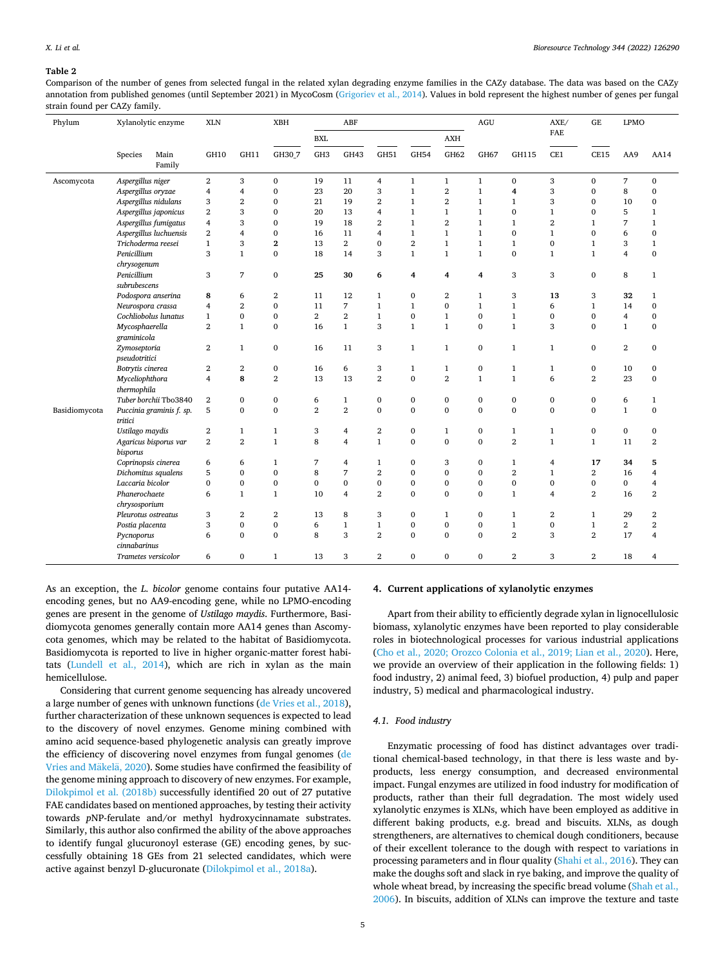### <span id="page-4-0"></span>**Table 2**

Comparison of the number of genes from selected fungal in the related xylan degrading enzyme families in the CAZy database. The data was based on the CAZy annotation from published genomes (until September 2021) in MycoCosm ([Grigoriev et al., 2014\)](#page-7-0). Values in bold represent the highest number of genes per fungal strain found per CAZy family.

| Phylum        | Xylanolytic enzyme                                                                                                                                                                  |                       | <b>XLN</b>              | <b>XBH</b>     |                | ABF             |                |                |                | $\rm AGU$      |                    | AXE/             | GE             | <b>LPMO</b>    |                  |                         |
|---------------|-------------------------------------------------------------------------------------------------------------------------------------------------------------------------------------|-----------------------|-------------------------|----------------|----------------|-----------------|----------------|----------------|----------------|----------------|--------------------|------------------|----------------|----------------|------------------|-------------------------|
|               |                                                                                                                                                                                     |                       |                         |                |                | <b>BXL</b>      |                |                |                | AXH            |                    |                  | <b>FAE</b>     |                |                  |                         |
|               | Species                                                                                                                                                                             | Main<br>Family        | GH10                    | GH11           | GH30 7         | GH <sub>3</sub> | GH43           | GH51           | <b>GH54</b>    | GH62           | GH67               | GH115            | CE1            | <b>CE15</b>    | AA9              | AA14                    |
| Ascomycota    | Aspergillus niger                                                                                                                                                                   |                       | $\mathbf{2}$            | 3              | $\mathbf 0$    | 19              | 11             | $\overline{4}$ | $\mathbf{1}$   | $\mathbf{1}$   | $\mathbf{1}$       | $\boldsymbol{0}$ | 3              | $\bf{0}$       | $\overline{7}$   | 0                       |
|               | Aspergillus oryzae                                                                                                                                                                  |                       | $\overline{4}$          | $\overline{4}$ | $\mathbf{0}$   | 23              | 20             | 3              | $\,1\,$        | $\overline{2}$ | $\,1$              | 4                | 3              | $\mathbf{0}$   | 8                | 0                       |
|               | Aspergillus nidulans<br>Aspergillus japonicus<br>Aspergillus fumigatus                                                                                                              |                       | 3                       | $\overline{2}$ | $\mathbf{0}$   | 21              | 19             | $\overline{2}$ | $\mathbf{1}$   | $\overline{2}$ | $\mathbf{1}$       | 1                | 3              | $\mathbf{0}$   | 10               | $\bf{0}$                |
|               |                                                                                                                                                                                     |                       | $\overline{\mathbf{2}}$ | 3              | $\mathbf{0}$   | 20              | 13             | $\overline{4}$ | $\mathbf{1}$   | $\mathbf{1}$   | $\mathbf{1}$       | $\bf{0}$         | $\mathbf{1}$   | $\mathbf{0}$   | 5                | $\mathbf{1}$            |
|               |                                                                                                                                                                                     |                       | $\overline{4}$          | 3              | $\mathbf{0}$   | 19              | 18             | $\overline{2}$ | $\mathbf{1}$   | $\overline{2}$ | $\mathbf{1}$       | $\mathbf{1}$     | $\overline{2}$ | $\mathbf{1}$   | 7                | $\mathbf{1}$            |
|               | Aspergillus luchuensis                                                                                                                                                              |                       | $\overline{\mathbf{2}}$ | 4              | $\mathbf{0}$   | 16              | 11             | 4              | $\mathbf{1}$   | $\mathbf{1}$   | $\mathbf{1}$       | $\mathbf{0}$     | $\mathbf{1}$   | $\Omega$       | 6                | 0                       |
|               | Trichoderma reesei<br>Penicillium<br>chrysogenum<br>Penicillium<br>subrubescens<br>Podospora anserina<br>Neurospora crassa<br>Cochliobolus lunatus<br>Mycosphaerella<br>graminicola |                       | $\mathbf{1}$            | 3              | $\overline{2}$ | 13              | $\overline{2}$ | $\mathbf{0}$   | $\overline{2}$ | $\mathbf{1}$   | $\mathbf{1}$       | $\mathbf{1}$     | $\mathbf{0}$   | $\mathbf{1}$   | 3                | $\mathbf{1}$            |
|               |                                                                                                                                                                                     |                       | 3                       | $\mathbf{1}$   | $\mathbf{0}$   | 18              | 14             | 3              | $\mathbf{1}$   | $\mathbf{1}$   | $\mathbf{1}$       | $\bf{0}$         | $\mathbf{1}$   | $\mathbf{1}$   | $\overline{4}$   | 0                       |
|               |                                                                                                                                                                                     |                       | 3                       | 7              | $\mathbf{0}$   | 25              | 30             | 6              | 4              | 4              | $\overline{\bf 4}$ | 3                | 3              | $\mathbf{0}$   | 8                | $\mathbf{1}$            |
|               |                                                                                                                                                                                     |                       | 8                       | 6              | $\overline{2}$ | 11              | 12             | $\mathbf{1}$   | $\bf{0}$       | $\overline{2}$ | 1                  | 3                | 13             | 3              | 32               | 1                       |
|               |                                                                                                                                                                                     |                       | 4                       | $\overline{2}$ | $\mathbf{0}$   | 11              | 7              | $\mathbf{1}$   | $\mathbf{1}$   | $\mathbf{0}$   | $\mathbf{1}$       | $\mathbf{1}$     | 6              | $\mathbf{1}$   | 14               | $\bf{0}$                |
|               |                                                                                                                                                                                     |                       | $\mathbf{1}$            | $\mathbf{0}$   | $\mathbf{0}$   | $\overline{2}$  | $\overline{2}$ | $\mathbf{1}$   | $\mathbf{0}$   | $\mathbf{1}$   | $\mathbf{0}$       | $\mathbf{1}$     | $\mathbf{0}$   | $\mathbf{0}$   | $\overline{4}$   | $\mathbf 0$             |
|               |                                                                                                                                                                                     |                       | $\overline{2}$          | $\mathbf{1}$   | $\mathbf{0}$   | 16              | $\mathbf{1}$   | 3              | $\mathbf{1}$   | $\mathbf{1}$   | $\mathbf{0}$       | $\mathbf{1}$     | 3              | $\Omega$       | $\mathbf{1}$     | $\mathbf 0$             |
|               |                                                                                                                                                                                     |                       |                         |                |                |                 |                |                |                |                |                    |                  |                |                |                  |                         |
|               | Zymoseptoria<br>pseudotritici                                                                                                                                                       |                       | $\overline{2}$          | $\mathbf{1}$   | $\mathbf{0}$   | 16              | 11             | 3              | $\mathbf{1}$   | $\mathbf{1}$   | $\bf{0}$           | $\mathbf{1}$     | $\mathbf{1}$   | $\mathbf{0}$   | $\boldsymbol{2}$ | 0                       |
|               | Botrytis cinerea<br>Myceliophthora<br>thermophila                                                                                                                                   |                       | $\boldsymbol{2}$        | $\overline{2}$ | 0              | 16              | 6              | 3              | $\mathbf{1}$   | $\mathbf{1}$   | $\boldsymbol{0}$   | $\mathbf{1}$     | 1              | $\bf{0}$       | 10               | 0                       |
|               |                                                                                                                                                                                     |                       | $\overline{4}$          | 8              | $\overline{2}$ | 13              | 13             | $\overline{2}$ | $\mathbf{0}$   | $\overline{2}$ | $\mathbf{1}$       | $\mathbf{1}$     | 6              | $\overline{2}$ | 23               | $\mathbf 0$             |
|               |                                                                                                                                                                                     |                       |                         |                |                |                 |                |                |                |                |                    |                  |                |                |                  |                         |
|               |                                                                                                                                                                                     | Tuber borchii Tbo3840 | $\mathbf{2}$            | $\bf{0}$       | 0              | 6               | $\mathbf{1}$   | 0              | $\bf{0}$       | $\bf{0}$       | $\bf{0}$           | $\bf{0}$         | $\bf{0}$       | $\bf{0}$       | 6                | $\mathbf{1}$            |
| Basidiomycota | Puccinia graminis f. sp.<br>tritici                                                                                                                                                 |                       | 5                       | $\Omega$       | $\Omega$       | $\overline{2}$  | $\overline{2}$ | $\mathbf{0}$   | $\mathbf{0}$   | $\mathbf{0}$   | $\mathbf{0}$       | $\mathbf{0}$     | $\mathbf{0}$   | $\Omega$       | $\mathbf{1}$     | $\mathbf 0$             |
|               | Ustilago maydis                                                                                                                                                                     |                       | $\boldsymbol{2}$        | $\mathbf{1}$   | $\mathbf{1}$   | 3               | 4              | 2              | $\bf{0}$       | $\mathbf{1}$   | $\bf{0}$           | $\mathbf{1}$     | $\mathbf{1}$   | $\bf{0}$       | $\bf{0}$         | 0                       |
|               | Agaricus bisporus var<br>bisporus                                                                                                                                                   |                       | $\mathbf{2}$            | $\overline{2}$ | $\mathbf{1}$   | 8               | $\overline{4}$ | $\mathbf{1}$   | $\mathbf{0}$   | $\mathbf{0}$   | $\mathbf{0}$       | $\overline{2}$   | $\mathbf{1}$   | $\mathbf{1}$   | 11               | 2                       |
|               | Coprinopsis cinerea                                                                                                                                                                 |                       | 6                       | 6              | $\mathbf{1}$   | 7               | 4              | $\mathbf{1}$   | $\mathbf{0}$   | 3              | $\mathbf{0}$       | $\mathbf{1}$     | 4              | 17             | 34               | 5                       |
|               | Dichomitus squalens                                                                                                                                                                 |                       | 5                       | $\mathbf{0}$   | $\mathbf{0}$   | 8               | 7              | $\overline{2}$ | $\mathbf{0}$   | $\mathbf 0$    | $\mathbf{0}$       | $\overline{2}$   | $\mathbf{1}$   | $\mathbf{2}$   | 16               | 4                       |
|               | Laccaria bicolor                                                                                                                                                                    |                       | $\mathbf{0}$            | $\mathbf{0}$   | $\mathbf{0}$   | $\mathbf 0$     | $\mathbf{0}$   | $\bf{0}$       | $\mathbf 0$    | 0              | $\mathbf{0}$       | $\bf{0}$         | $\bf{0}$       | $\mathbf{0}$   | $\bf{0}$         | 4                       |
|               | Phanerochaete                                                                                                                                                                       |                       | 6                       | $\mathbf{1}$   | $\mathbf{1}$   | 10              | $\overline{4}$ | $\overline{2}$ | $\mathbf{0}$   | $\mathbf{0}$   | $\mathbf{0}$       | $\mathbf{1}$     | $\overline{4}$ | $\overline{2}$ | 16               | 2                       |
|               | chrysosporium                                                                                                                                                                       |                       |                         |                |                |                 |                |                |                |                |                    |                  |                |                |                  |                         |
|               | Pleurotus ostreatus                                                                                                                                                                 |                       | 3                       | $\overline{2}$ | $\overline{2}$ | 13              | 8              | 3              | $\bf{0}$       | $\mathbf{1}$   | $\bf{0}$           | 1                | $\overline{2}$ | 1              | 29               | 2                       |
|               |                                                                                                                                                                                     | Postia placenta       |                         | $\mathbf{0}$   | $\mathbf{0}$   | 6               | $\mathbf{1}$   | $\mathbf{1}$   | $\bf{0}$       | $\bf{0}$       | $\mathbf{0}$       | $\mathbf{1}$     | $\bf{0}$       | $\mathbf{1}$   | $\overline{2}$   | $\overline{2}$          |
|               | Pycnoporus<br>cinnabarinus                                                                                                                                                          |                       | 6                       | $\mathbf{0}$   | $\mathbf{0}$   | 8               | 3              | $\overline{2}$ | $\mathbf{0}$   | $\mathbf{0}$   | $\mathbf{0}$       | $\overline{2}$   | 3              | $\overline{2}$ | 17               | $\overline{\mathbf{4}}$ |
|               | Trametes versicolor                                                                                                                                                                 |                       | 6                       | $\bf{0}$       | $\mathbf{1}$   | 13              | 3              | $\overline{2}$ | $\mathbf{0}$   | $\mathbf{0}$   | $\mathbf{0}$       | $\overline{2}$   | 3              | $\mathbf{2}$   | 18               | 4                       |

As an exception, the *L. bicolor* genome contains four putative AA14 encoding genes, but no AA9-encoding gene, while no LPMO-encoding genes are present in the genome of *Ustilago maydis*. Furthermore, Basidiomycota genomes generally contain more AA14 genes than Ascomycota genomes, which may be related to the habitat of Basidiomycota. Basidiomycota is reported to live in higher organic-matter forest habitats [\(Lundell et al., 2014\)](#page-7-0), which are rich in xylan as the main hemicellulose.

Considering that current genome sequencing has already uncovered a large number of genes with unknown functions ([de Vries et al., 2018](#page-6-0)), further characterization of these unknown sequences is expected to lead to the discovery of novel enzymes. Genome mining combined with amino acid sequence-based phylogenetic analysis can greatly improve the efficiency of discovering novel enzymes from fungal genomes [\(de](#page-6-0)  Vries and Mäkelä, 2020). Some studies have confirmed the feasibility of the genome mining approach to discovery of new enzymes. For example, [Dilokpimol et al. \(2018b\)](#page-7-0) successfully identified 20 out of 27 putative FAE candidates based on mentioned approaches, by testing their activity towards *p*NP-ferulate and/or methyl hydroxycinnamate substrates. Similarly, this author also confirmed the ability of the above approaches to identify fungal glucuronoyl esterase (GE) encoding genes, by successfully obtaining 18 GEs from 21 selected candidates, which were active against benzyl D-glucuronate ([Dilokpimol et al., 2018a](#page-7-0)).

## **4. Current applications of xylanolytic enzymes**

Apart from their ability to efficiently degrade xylan in lignocellulosic biomass, xylanolytic enzymes have been reported to play considerable roles in biotechnological processes for various industrial applications ([Cho et al., 2020; Orozco Colonia et al., 2019; Lian et al., 2020\)](#page-6-0). Here, we provide an overview of their application in the following fields: 1) food industry, 2) animal feed, 3) biofuel production, 4) pulp and paper industry, 5) medical and pharmacological industry.

#### *4.1. Food industry*

Enzymatic processing of food has distinct advantages over traditional chemical-based technology, in that there is less waste and byproducts, less energy consumption, and decreased environmental impact. Fungal enzymes are utilized in food industry for modification of products, rather than their full degradation. The most widely used xylanolytic enzymes is XLNs, which have been employed as additive in different baking products, e.g. bread and biscuits. XLNs, as dough strengtheners, are alternatives to chemical dough conditioners, because of their excellent tolerance to the dough with respect to variations in processing parameters and in flour quality [\(Shahi et al., 2016](#page-8-0)). They can make the doughs soft and slack in rye baking, and improve the quality of whole wheat bread, by increasing the specific bread volume (Shah et al., [2006\)](#page-8-0). In biscuits, addition of XLNs can improve the texture and taste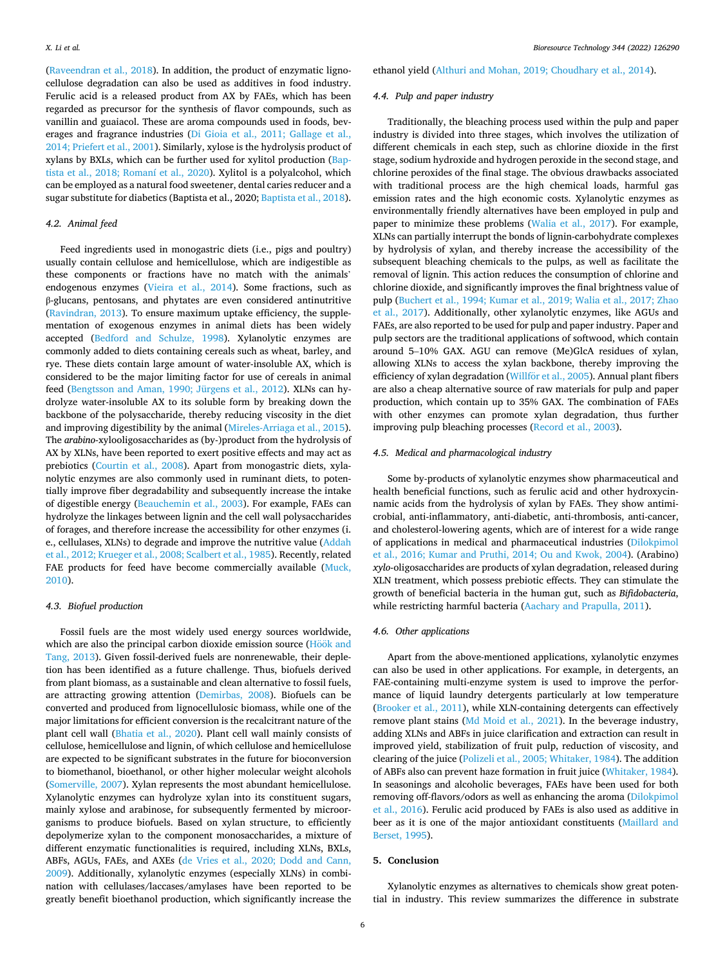*Bioresource Technology 344 (2022) 126290*

([Raveendran et al., 2018](#page-8-0)). In addition, the product of enzymatic lignocellulose degradation can also be used as additives in food industry. Ferulic acid is a released product from AX by FAEs, which has been regarded as precursor for the synthesis of flavor compounds, such as vanillin and guaiacol. These are aroma compounds used in foods, beverages and fragrance industries [\(Di Gioia et al., 2011; Gallage et al.,](#page-7-0)  [2014; Priefert et al., 2001](#page-7-0)). Similarly, xylose is the hydrolysis product of xylans by BXLs, which can be further used for xylitol production ([Bap](#page-6-0)[tista et al., 2018; Romaní et al., 2020\)](#page-6-0). Xylitol is a polyalcohol, which can be employed as a natural food sweetener, dental caries reducer and a sugar substitute for diabetics (Baptista et al., 2020; [Baptista et al., 2018](#page-6-0)).

# *4.2. Animal feed*

Feed ingredients used in monogastric diets (i.e., pigs and poultry) usually contain cellulose and hemicellulose, which are indigestible as these components or fractions have no match with the animals' endogenous enzymes [\(Vieira et al., 2014\)](#page-8-0). Some fractions, such as β-glucans, pentosans, and phytates are even considered antinutritive ([Ravindran, 2013](#page-8-0)). To ensure maximum uptake efficiency, the supplementation of exogenous enzymes in animal diets has been widely accepted ([Bedford and Schulze, 1998\)](#page-6-0). Xylanolytic enzymes are commonly added to diets containing cereals such as wheat, barley, and rye. These diets contain large amount of water-insoluble AX, which is considered to be the major limiting factor for use of cereals in animal feed [\(Bengtsson and Aman, 1990; Jürgens et al., 2012\)](#page-6-0). XLNs can hydrolyze water-insoluble AX to its soluble form by breaking down the backbone of the polysaccharide, thereby reducing viscosity in the diet and improving digestibility by the animal [\(Mireles-Arriaga et al., 2015](#page-8-0)). The *arabino*-xylooligosaccharides as (by-)product from the hydrolysis of AX by XLNs, have been reported to exert positive effects and may act as prebiotics ([Courtin et al., 2008\)](#page-6-0). Apart from monogastric diets, xylanolytic enzymes are also commonly used in ruminant diets, to potentially improve fiber degradability and subsequently increase the intake of digestible energy [\(Beauchemin et al., 2003\)](#page-6-0). For example, FAEs can hydrolyze the linkages between lignin and the cell wall polysaccharides of forages, and therefore increase the accessibility for other enzymes (i. e., cellulases, XLNs) to degrade and improve the nutritive value ([Addah](#page-6-0)  [et al., 2012; Krueger et al., 2008; Scalbert et al., 1985\)](#page-6-0). Recently, related FAE products for feed have become commercially available (Muck, [2010\)](#page-8-0).

#### *4.3. Biofuel production*

Fossil fuels are the most widely used energy sources worldwide, which are also the principal carbon dioxide emission source (Hoök and [Tang, 2013](#page-7-0)). Given fossil-derived fuels are nonrenewable, their depletion has been identified as a future challenge. Thus, biofuels derived from plant biomass, as a sustainable and clean alternative to fossil fuels, are attracting growing attention ([Demirbas, 2008\)](#page-7-0). Biofuels can be converted and produced from lignocellulosic biomass, while one of the major limitations for efficient conversion is the recalcitrant nature of the plant cell wall ([Bhatia et al., 2020\)](#page-6-0). Plant cell wall mainly consists of cellulose, hemicellulose and lignin, of which cellulose and hemicellulose are expected to be significant substrates in the future for bioconversion to biomethanol, bioethanol, or other higher molecular weight alcohols ([Somerville, 2007\)](#page-8-0). Xylan represents the most abundant hemicellulose. Xylanolytic enzymes can hydrolyze xylan into its constituent sugars, mainly xylose and arabinose, for subsequently fermented by microorganisms to produce biofuels. Based on xylan structure, to efficiently depolymerize xylan to the component monosaccharides, a mixture of different enzymatic functionalities is required, including XLNs, BXLs, ABFs, AGUs, FAEs, and AXEs ([de Vries et al., 2020; Dodd and Cann,](#page-7-0)  [2009\)](#page-7-0). Additionally, xylanolytic enzymes (especially XLNs) in combination with cellulases/laccases/amylases have been reported to be greatly benefit bioethanol production, which significantly increase the

6

ethanol yield [\(Althuri and Mohan, 2019; Choudhary et al., 2014](#page-6-0)).

# *4.4. Pulp and paper industry*

Traditionally, the bleaching process used within the pulp and paper industry is divided into three stages, which involves the utilization of different chemicals in each step, such as chlorine dioxide in the first stage, sodium hydroxide and hydrogen peroxide in the second stage, and chlorine peroxides of the final stage. The obvious drawbacks associated with traditional process are the high chemical loads, harmful gas emission rates and the high economic costs. Xylanolytic enzymes as environmentally friendly alternatives have been employed in pulp and paper to minimize these problems ([Walia et al., 2017](#page-9-0)). For example, XLNs can partially interrupt the bonds of lignin-carbohydrate complexes by hydrolysis of xylan, and thereby increase the accessibility of the subsequent bleaching chemicals to the pulps, as well as facilitate the removal of lignin. This action reduces the consumption of chlorine and chlorine dioxide, and significantly improves the final brightness value of pulp ([Buchert et al., 1994; Kumar et al., 2019; Walia et al., 2017; Zhao](#page-6-0)  [et al., 2017](#page-6-0)). Additionally, other xylanolytic enzymes, like AGUs and FAEs, are also reported to be used for pulp and paper industry. Paper and pulp sectors are the traditional applications of softwood, which contain around 5–10% GAX. AGU can remove (Me)GlcA residues of xylan, allowing XLNs to access the xylan backbone, thereby improving the efficiency of xylan degradation (Willför [et al., 2005](#page-9-0)). Annual plant fibers are also a cheap alternative source of raw materials for pulp and paper production, which contain up to 35% GAX. The combination of FAEs with other enzymes can promote xylan degradation, thus further improving pulp bleaching processes ([Record et al., 2003\)](#page-8-0).

#### *4.5. Medical and pharmacological industry*

Some by-products of xylanolytic enzymes show pharmaceutical and health beneficial functions, such as ferulic acid and other hydroxycinnamic acids from the hydrolysis of xylan by FAEs. They show antimicrobial, anti-inflammatory, anti-diabetic, anti-thrombosis, anti-cancer, and cholesterol-lowering agents, which are of interest for a wide range of applications in medical and pharmaceutical industries [\(Dilokpimol](#page-7-0)  [et al., 2016; Kumar and Pruthi, 2014; Ou and Kwok, 2004\)](#page-7-0). (Arabino) *xylo*-oligosaccharides are products of xylan degradation, released during XLN treatment, which possess prebiotic effects. They can stimulate the growth of beneficial bacteria in the human gut, such as *Bifidobacteria*, while restricting harmful bacteria [\(Aachary and Prapulla, 2011](#page-6-0)).

## *4.6. Other applications*

Apart from the above-mentioned applications, xylanolytic enzymes can also be used in other applications. For example, in detergents, an FAE-containing multi-enzyme system is used to improve the performance of liquid laundry detergents particularly at low temperature ([Brooker et al., 2011](#page-6-0)), while XLN-containing detergents can effectively remove plant stains ([Md Moid et al., 2021](#page-8-0)). In the beverage industry, adding XLNs and ABFs in juice clarification and extraction can result in improved yield, stabilization of fruit pulp, reduction of viscosity, and clearing of the juice [\(Polizeli et al., 2005; Whitaker, 1984](#page-8-0)). The addition of ABFs also can prevent haze formation in fruit juice ([Whitaker, 1984](#page-9-0)). In seasonings and alcoholic beverages, FAEs have been used for both removing off-flavors/odors as well as enhancing the aroma (Dilokpimol [et al., 2016](#page-7-0)). Ferulic acid produced by FAEs is also used as additive in beer as it is one of the major antioxidant constituents [\(Maillard and](#page-8-0)  [Berset, 1995\)](#page-8-0).

# **5. Conclusion**

Xylanolytic enzymes as alternatives to chemicals show great potential in industry. This review summarizes the difference in substrate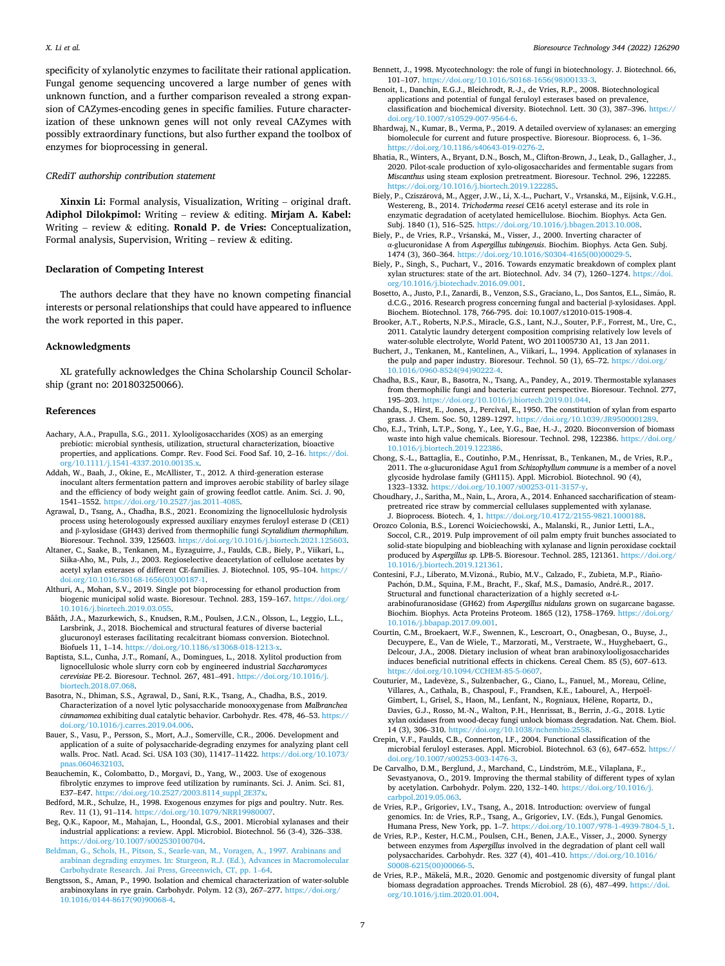<span id="page-6-0"></span>specificity of xylanolytic enzymes to facilitate their rational application. Fungal genome sequencing uncovered a large number of genes with unknown function, and a further comparison revealed a strong expansion of CAZymes-encoding genes in specific families. Future characterization of these unknown genes will not only reveal CAZymes with possibly extraordinary functions, but also further expand the toolbox of enzymes for bioprocessing in general.

## *CRediT authorship contribution statement*

**Xinxin Li:** Formal analysis, Visualization, Writing – original draft. **Adiphol Dilokpimol:** Writing – review & editing. **Mirjam A. Kabel:**  Writing – review & editing. **Ronald P. de Vries:** Conceptualization, Formal analysis, Supervision, Writing – review & editing.

#### **Declaration of Competing Interest**

The authors declare that they have no known competing financial interests or personal relationships that could have appeared to influence the work reported in this paper.

# **Acknowledgments**

XL gratefully acknowledges the China Scholarship Council Scholarship (grant no: 201803250066).

#### **References**

- Aachary, A.A., Prapulla, S.G., 2011. Xylooligosaccharides (XOS) as an emerging prebiotic: microbial synthesis, utilization, structural characterization, bioactive properties, and applications. Compr. Rev. Food Sci. Food Saf. 10, 2–16. [https://doi.](https://doi.org/10.1111/j.1541-4337.2010.00135.x)  [org/10.1111/j.1541-4337.2010.00135.x.](https://doi.org/10.1111/j.1541-4337.2010.00135.x)
- Addah, W., Baah, J., Okine, E., McAllister, T., 2012. A third-generation esterase inoculant alters fermentation pattern and improves aerobic stability of barley silage and the efficiency of body weight gain of growing feedlot cattle. Anim. Sci. J. 90,  $1541-1552$ . https://doi.org/10.2527/jas.2011-4085. 1541–1552. https://doi.org/10.25
- Agrawal, D., Tsang, A., Chadha, B.S., 2021. Economizing the lignocellulosic hydrolysis process using heterologously expressed auxiliary enzymes feruloyl esterase D (CE1) and β-xylosidase (GH43) derived from thermophilic fungi *Scytalidium thermophilum*. Bioresour. Technol. 339, 125603. [https://doi.org/10.1016/j.biortech.2021.125603.](https://doi.org/10.1016/j.biortech.2021.125603)
- Altaner, C., Saake, B., Tenkanen, M., Eyzaguirre, J., Faulds, C.B., Biely, P., Viikari, L., Siika-Aho, M., Puls, J., 2003. Regioselective deacetylation of cellulose acetates by acetyl xylan esterases of different CE-families. J. Biotechnol. 105, 95–104. [https://](https://doi.org/10.1016/S0168-1656(03)00187-1)  [doi.org/10.1016/S0168-1656\(03\)00187-1.](https://doi.org/10.1016/S0168-1656(03)00187-1)
- Althuri, A., Mohan, S.V., 2019. Single pot bioprocessing for ethanol production from biogenic municipal solid waste. Bioresour. Technol. 283, 159–167. [https://doi.org/](https://doi.org/10.1016/j.biortech.2019.03.055)  [10.1016/j.biortech.2019.03.055.](https://doi.org/10.1016/j.biortech.2019.03.055)
- Bååth, J.A., Mazurkewich, S., Knudsen, R.M., Poulsen, J.C.N., Olsson, L., Leggio, L.L., Larsbrink, J., 2018. Biochemical and structural features of diverse bacterial glucuronoyl esterases facilitating recalcitrant biomass conversion. Biotechnol. Biofuels 11, 1–14. [https://doi.org/10.1186/s13068-018-1213-x.](https://doi.org/10.1186/s13068-018-1213-x)
- Baptista, S.L., Cunha, J.T., Romaní, A., Domingues, L., 2018. Xylitol production from lignocellulosic whole slurry corn cob by engineered industrial *Saccharomyces cerevisiae* PE-2. Bioresour. Technol. 267, 481–491. [https://doi.org/10.1016/j.](https://doi.org/10.1016/j.biortech.2018.07.068) [biortech.2018.07.068.](https://doi.org/10.1016/j.biortech.2018.07.068)
- Basotra, N., Dhiman, S.S., Agrawal, D., Sani, R.K., Tsang, A., Chadha, B.S., 2019. Characterization of a novel lytic polysaccharide monooxygenase from *Malbranchea cinnamomea* exhibiting dual catalytic behavior. Carbohydr. Res. 478, 46–53. [https://](https://doi.org/10.1016/j.carres.2019.04.006)  [doi.org/10.1016/j.carres.2019.04.006](https://doi.org/10.1016/j.carres.2019.04.006).
- Bauer, S., Vasu, P., Persson, S., Mort, A.J., Somerville, C.R., 2006. Development and application of a suite of polysaccharide-degrading enzymes for analyzing plant cell walls. Proc. Natl. Acad. Sci. USA 103 (30), 11417–11422. [https://doi.org/10.1073/](https://doi.org/10.1073/pnas.0604632103)  [pnas.0604632103](https://doi.org/10.1073/pnas.0604632103).
- Beauchemin, K., Colombatto, D., Morgavi, D., Yang, W., 2003. Use of exogenous fibrolytic enzymes to improve feed utilization by ruminants. Sci. J. Anim. Sci. 81, E37–E47. https://doi.org/10.2527/2003.8114 suppl\_2E37x.
- Bedford, M.R., Schulze, H., 1998. Exogenous enzymes for pigs and poultry. Nutr. Res. Rev. 11 (1), 91–114. <https://doi.org/10.1079/NRR19980007>.
- Beg, Q.K., Kapoor, M., Mahajan, L., Hoondal, G.S., 2001. Microbial xylanases and their industrial applications: a review. Appl. Microbiol. Biotechnol. 56 (3-4), 326–338. [https://doi.org/10.1007/s002530100704.](https://doi.org/10.1007/s002530100704)
- [Beldman, G., Schols, H., Pitson, S., Searle-van, M., Voragen, A., 1997. Arabinans and](http://refhub.elsevier.com/S0960-8524(21)01632-1/h0070) [arabinan degrading enzymes. In: Sturgeon, R.J. \(Ed.\), Advances in Macromolecular](http://refhub.elsevier.com/S0960-8524(21)01632-1/h0070)  [Carbohydrate Research. Jai Press, Greeenwich, CT, pp. 1](http://refhub.elsevier.com/S0960-8524(21)01632-1/h0070)–64.
- Bengtsson, S., Aman, P., 1990. Isolation and chemical characterization of water-soluble arabinoxylans in rye grain. Carbohydr. Polym. 12 (3), 267–277. [https://doi.org/](https://doi.org/10.1016/0144-8617(90)90068-4)  [10.1016/0144-8617\(90\)90068-4](https://doi.org/10.1016/0144-8617(90)90068-4).
- Bennett, J., 1998. Mycotechnology: the role of fungi in biotechnology. J. Biotechnol. 66, 101–107. [https://doi.org/10.1016/S0168-1656\(98\)00133-3.](https://doi.org/10.1016/S0168-1656(98)00133-3)
- Benoit, I., Danchin, E.G.J., Bleichrodt, R.-J., de Vries, R.P., 2008. Biotechnological applications and potential of fungal feruloyl esterases based on prevalence, classification and biochemical diversity. Biotechnol. Lett. 30 (3), 387–396. [https://](https://doi.org/10.1007/s10529-007-9564-6)  [doi.org/10.1007/s10529-007-9564-6.](https://doi.org/10.1007/s10529-007-9564-6)
- Bhardwaj, N., Kumar, B., Verma, P., 2019. A detailed overview of xylanases: an emerging biomolecule for current and future prospective. Bioresour. Bioprocess. 6, 1–36. https://doi.org/10.1186/s40643-019-027
- Bhatia, R., Winters, A., Bryant, D.N., Bosch, M., Clifton-Brown, J., Leak, D., Gallagher, J., 2020. Pilot-scale production of xylo-oligosaccharides and fermentable sugars from *Miscanthus* using steam explosion pretreatment. Bioresour. Technol. 296, 122285. https://doi.org/10.1016/j.biortech.2019.12228
- Biely, P., Cziszárová, M., Agger, J.W., Li, X.-L., Puchart, V., Vršanská, M., Eijsink, V.G.H., Westereng, B., 2014. *Trichoderma reesei* CE16 acetyl esterase and its role in enzymatic degradation of acetylated hemicellulose. Biochim. Biophys. Acta Gen. Subj. 1840 (1), 516–525. [https://doi.org/10.1016/j.bbagen.2013.10.008.](https://doi.org/10.1016/j.bbagen.2013.10.008)
- Biely, P., de Vries, R.P., Vršanská, M., Visser, J., 2000. Inverting character of α-glucuronidase A from *Aspergillus tubingensis*. Biochim. Biophys. Acta Gen. Subj. 1474 (3), 360–364. [https://doi.org/10.1016/S0304-4165\(00\)00029-5](https://doi.org/10.1016/S0304-4165(00)00029-5).
- Biely, P., Singh, S., Puchart, V., 2016. Towards enzymatic breakdown of complex plant xylan structures: state of the art. Biotechnol. Adv. 34 (7), 1260–1274. [https://doi.](https://doi.org/10.1016/j.biotechadv.2016.09.001) [org/10.1016/j.biotechadv.2016.09.001.](https://doi.org/10.1016/j.biotechadv.2016.09.001)
- Bosetto, A., Justo, P.I., Zanardi, B., Venzon, S.S., Graciano, L., Dos Santos, E.L., Simão, R. d.C.G., 2016. Research progress concerning fungal and bacterial β-xylosidases. Appl. Biochem. Biotechnol. 178, 766-795. doi: 10.1007/s12010-015-1908-4.
- Brooker, A.T., Roberts, N.P.S., Miracle, G.S., Lant, N.J., Souter, P.F., Forrest, M., Ure, C., 2011. Catalytic laundry detergent composition comprising relatively low levels of water-soluble electrolyte, World Patent, WO 2011005730 A1, 13 Jan 2011.
- Buchert, J., Tenkanen, M., Kantelinen, A., Viikari, L., 1994. Application of xylanases in the pulp and paper industry. Bioresour. Technol. 50 (1), 65-72. [https://doi.org/](https://doi.org/10.1016/0960-8524(94)90222-4) [10.1016/0960-8524\(94\)90222-4](https://doi.org/10.1016/0960-8524(94)90222-4).
- Chadha, B.S., Kaur, B., Basotra, N., Tsang, A., Pandey, A., 2019. Thermostable xylanases from thermophilic fungi and bacteria: current perspective. Bioresour. Technol. 277, 195–203. [https://doi.org/10.1016/j.biortech.2019.01.044.](https://doi.org/10.1016/j.biortech.2019.01.044)
- Chanda, S., Hirst, E., Jones, J., Percival, E., 1950. The constitution of xylan from esparto grass. J. Chem. Soc. 50, 1289–1297.<https://doi.org/10.1039/JR9500001289>.
- Cho, E.J., Trinh, L.T.P., Song, Y., Lee, Y.G., Bae, H.-J., 2020. Bioconversion of biomass waste into high value chemicals. Bioresour. Technol. 298, 122386. [https://doi.org/](https://doi.org/10.1016/j.biortech.2019.122386)  [10.1016/j.biortech.2019.122386](https://doi.org/10.1016/j.biortech.2019.122386).
- Chong, S.-L., Battaglia, E., Coutinho, P.M., Henrissat, B., Tenkanen, M., de Vries, R.P., 2011. The α-glucuronidase Agu1 from *Schizophyllum commune* is a member of a novel glycoside hydrolase family (GH115). Appl. Microbiol. Biotechnol. 90 (4), 1323–1332.<https://doi.org/10.1007/s00253-011-3157-y>.
- Choudhary, J., Saritha, M., Nain, L., Arora, A., 2014. Enhanced saccharification of steampretreated rice straw by commercial cellulases supplemented with xylanase. J. Bioprocess. Biotech. 4, 1. [https://doi.org/10.4172/2155-9821.1000188.](https://doi.org/10.4172/2155-9821.1000188)
- Orozco Colonia, B.S., Lorenci Woiciechowski, A., Malanski, R., Junior Letti, L.A., Soccol, C.R., 2019. Pulp improvement of oil palm empty fruit bunches associated to solid-state biopulping and biobleaching with xylanase and lignin peroxidase cocktail produced by *Aspergillus sp.* LPB-5. Bioresour. Technol. 285, 121361. [https://doi.org/](https://doi.org/10.1016/j.biortech.2019.121361)  [10.1016/j.biortech.2019.121361](https://doi.org/10.1016/j.biortech.2019.121361).
- Contesini, F.J., Liberato, M.Vizoná., Rubio, M.V., Calzado, F., Zubieta, M.P., Riaño-Pachón, D.M., Squina, F.M., Bracht, F., Skaf, M.S., Damasio, André.R., 2017. Structural and functional characterization of a highly secreted α-Larabinofuranosidase (GH62) from *Aspergillus nidulans* grown on sugarcane bagasse. Biochim. Biophys. Acta Proteins Proteom. 1865 (12), 1758–1769. [https://doi.org/](https://doi.org/10.1016/j.bbapap.2017.09.001) [10.1016/j.bbapap.2017.09.001](https://doi.org/10.1016/j.bbapap.2017.09.001).
- Courtin, C.M., Broekaert, W.F., Swennen, K., Lescroart, O., Onagbesan, O., Buyse, J., Decuypere, E., Van de Wiele, T., Marzorati, M., Verstraete, W., Huyghebaert, G., Delcour, J.A., 2008. Dietary inclusion of wheat bran arabinoxylooligosaccharides induces beneficial nutritional effects in chickens. Cereal Chem. 85 (5), 607–613. [https://doi.org/10.1094/CCHEM-85-5-0607.](https://doi.org/10.1094/CCHEM-85-5-0607)
- Couturier, M., Ladevèze, S., Sulzenbacher, G., Ciano, L., Fanuel, M., Moreau, Céline, Villares, A., Cathala, B., Chaspoul, F., Frandsen, K.E., Labourel, A., Herpoël-Gimbert, I., Grisel, S., Haon, M., Lenfant, N., Rogniaux, Hélène, Ropartz, D., Davies, G.J., Rosso, M.-N., Walton, P.H., Henrissat, B., Berrin, J.-G., 2018. Lytic xylan oxidases from wood-decay fungi unlock biomass degradation. Nat. Chem. Biol. 14 (3), 306–310. <https://doi.org/10.1038/nchembio.2558>.
- Crepin, V.F., Faulds, C.B., Connerton, I.F., 2004. Functional classification of the microbial feruloyl esterases. Appl. Microbiol. Biotechnol. 63 (6), 647–652. [https://](https://doi.org/10.1007/s00253-003-1476-3) [doi.org/10.1007/s00253-003-1476-3.](https://doi.org/10.1007/s00253-003-1476-3)
- De Carvalho, D.M., Berglund, J., Marchand, C., Lindström, M.E., Vilaplana, F., Sevastyanova, O., 2019. Improving the thermal stability of different types of xylan by acetylation. Carbohydr. Polym. 220, 132–140. [https://doi.org/10.1016/j.](https://doi.org/10.1016/j.carbpol.2019.05.063) [carbpol.2019.05.063](https://doi.org/10.1016/j.carbpol.2019.05.063).
- de Vries, R.P., Grigoriev, I.V., Tsang, A., 2018. Introduction: overview of fungal genomics. In: de Vries, R.P., Tsang, A., Grigoriev, I.V. (Eds.), Fungal Genomics. Humana Press, New York, pp. 1–7. [https://doi.org/10.1007/978-1-4939-7804-5\\_1.](https://doi.org/10.1007/978-1-4939-7804-5_1)
- de Vries, R.P., Kester, H.C.M., Poulsen, C.H., Benen, J.A.E., Visser, J., 2000. Synergy between enzymes from *Aspergillus* involved in the degradation of plant cell wall polysaccharides. Carbohydr. Res. 327 (4), 401–410. [https://doi.org/10.1016/](https://doi.org/10.1016/S0008-6215(00)00066-5) [S0008-6215\(00\)00066-5](https://doi.org/10.1016/S0008-6215(00)00066-5).
- de Vries, R.P., Mäkelä, M.R., 2020. Genomic and postgenomic diversity of fungal plant biomass degradation approaches. Trends Microbiol. 28 (6), 487–499. [https://doi.](https://doi.org/10.1016/j.tim.2020.01.004)  [org/10.1016/j.tim.2020.01.004](https://doi.org/10.1016/j.tim.2020.01.004).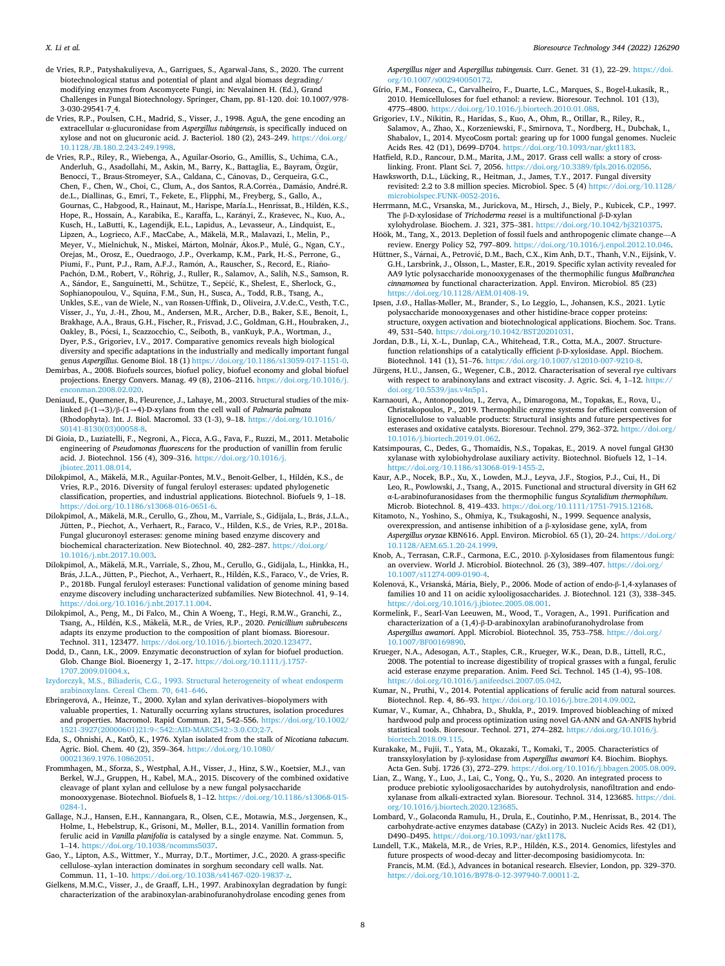- <span id="page-7-0"></span>de Vries, R.P., Patyshakuliyeva, A., Garrigues, S., Agarwal-Jans, S., 2020. The current biotechnological status and potential of plant and algal biomass degrading/ modifying enzymes from Ascomycete Fungi, in: Nevalainen H. (Ed.), Grand Challenges in Fungal Biotechnology. Springer, Cham, pp. 81-120. doi: 10.1007/978- 3-030-29541-7\_4.
- de Vries, R.P., Poulsen, C.H., Madrid, S., Visser, J., 1998. AguA, the gene encoding an extracellular α-glucuronidase from *Aspergillus tubingensis*, is specifically induced on xylose and not on glucuronic acid. J. Bacteriol. 180 (2), 243–249. [https://doi.org/](https://doi.org/10.1128/JB.180.2.243-249.1998) [10.1128/JB.180.2.243-249.1998](https://doi.org/10.1128/JB.180.2.243-249.1998).
- de Vries, R.P., Riley, R., Wiebenga, A., Aguilar-Osorio, G., Amillis, S., Uchima, C.A., Anderluh, G., Asadollahi, M., Askin, M., Barry, K., Battaglia, E., Bayram, Ozgür, ¨ Benocci, T., Braus-Stromeyer, S.A., Caldana, C., Cánovas, D., Cerqueira, G.C., Chen, F., Chen, W., Choi, C., Clum, A., dos Santos, R.A.Corrêa., Damásio, André.R. de.L., Diallinas, G., Emri, T., Fekete, E., Flipphi, M., Freyberg, S., Gallo, A., Gournas, C., Habgood, R., Hainaut, M., Harispe, María.L., Henrissat, B., Hildén, K.S., Hope, R., Hossain, A., Karabika, E., Karaffa, L., Karányi, Z., Kraševec, N., Kuo, A., Kusch, H., LaButti, K., Lagendijk, E.L., Lapidus, A., Levasseur, A., Lindquist, E., Lipzen, A., Logrieco, A.F., MacCabe, A., Mäkelä, M.R., Malavazi, I., Melin, P., Meyer, V., Mielnichuk, N., Miskei, Márton, Molnár, Ákos.P., Mulé, G., Ngan, C.Y., Orejas, M., Orosz, E., Ouedraogo, J.P., Overkamp, K.M., Park, H.-S., Perrone, G., Piumi, F., Punt, P.J., Ram, A.F.J., Ramón, A., Rauscher, S., Record, E., Riaño-Pachón, D.M., Robert, V., Röhrig, J., Ruller, R., Salamov, A., Salih, N.S., Samson, R. A., Sándor, E., Sanguinetti, M., Schütze, T., Sepčić, K., Shelest, E., Sherlock, G., Sophianopoulou, V., Squina, F.M., Sun, H., Susca, A., Todd, R.B., Tsang, A., Unkles, S.E., van de Wiele, N., van Rossen-Uffink, D., Oliveira, J.V.de.C., Vesth, T.C., Visser, J., Yu, J.-H., Zhou, M., Andersen, M.R., Archer, D.B., Baker, S.E., Benoit, I., Brakhage, A.A., Braus, G.H., Fischer, R., Frisvad, J.C., Goldman, G.H., Houbraken, J., Oakley, B., Pócsi, I., Scazzocchio, C., Seiboth, B., vanKuyk, P.A., Wortman, J., Dyer, P.S., Grigoriev, I.V., 2017. Comparative genomics reveals high biological diversity and specific adaptations in the industrially and medically important fungal genus *Aspergillus*. Genome Biol. 18 (1) [https://doi.org/10.1186/s13059-017-1151-0.](https://doi.org/10.1186/s13059-017-1151-0)
- Demirbas, A., 2008. Biofuels sources, biofuel policy, biofuel economy and global biofuel projections. Energy Convers. Manag. 49 (8), 2106–2116. [https://doi.org/10.1016/j.](https://doi.org/10.1016/j.enconman.2008.02.020)  [enconman.2008.02.020](https://doi.org/10.1016/j.enconman.2008.02.020).
- Deniaud, E., Quemener, B., Fleurence, J., Lahaye, M., 2003. Structural studies of the mixlinked β-(1→3)/β-(1→4)-D-xylans from the cell wall of *Palmaria palmata*  (Rhodophyta). Int. J. Biol. Macromol. 33 (1-3), 9–18. [https://doi.org/10.1016/](https://doi.org/10.1016/S0141-8130(03)00058-8)  [S0141-8130\(03\)00058-8](https://doi.org/10.1016/S0141-8130(03)00058-8).
- Di Gioia, D., Luziatelli, F., Negroni, A., Ficca, A.G., Fava, F., Ruzzi, M., 2011. Metabolic engineering of *Pseudomonas fluorescens* for the production of vanillin from ferulic acid. J. Biotechnol. 156 (4), 309–316. [https://doi.org/10.1016/j.](https://doi.org/10.1016/j.jbiotec.2011.08.014)  [jbiotec.2011.08.014](https://doi.org/10.1016/j.jbiotec.2011.08.014).
- Dilokpimol, A., Mäkelä, M.R., Aguilar-Pontes, M.V., Benoit-Gelber, I., Hildén, K.S., de Vries, R.P., 2016. Diversity of fungal feruloyl esterases: updated phylogenetic classification, properties, and industrial applications. Biotechnol. Biofuels 9, 1–18. [https://doi.org/10.1186/s13068-016-0651-6.](https://doi.org/10.1186/s13068-016-0651-6)
- Dilokpimol, A., Mäkelä, M.R., Cerullo, G., Zhou, M., Varriale, S., Gidijala, L., Brás, J.L.A., Jütten, P., Piechot, A., Verhaert, R., Faraco, V., Hilden, K.S., de Vries, R.P., 2018a. Fungal glucuronoyl esterases: genome mining based enzyme discovery and biochemical characterization. New Biotechnol. 40, 282–287. [https://doi.org/](https://doi.org/10.1016/j.nbt.2017.10.003) [10.1016/j.nbt.2017.10.003.](https://doi.org/10.1016/j.nbt.2017.10.003)
- Dilokpimol, A., Mäkelä, M.R., Varriale, S., Zhou, M., Cerullo, G., Gidijala, L., Hinkka, H., Brás, J.L.A., Jütten, P., Piechot, A., Verhaert, R., Hildén, K.S., Faraco, V., de Vries, R. P., 2018b. Fungal feruloyl esterases: Functional validation of genome mining based enzyme discovery including uncharacterized subfamilies. New Biotechnol. 41, 9–14. [https://doi.org/10.1016/j.nbt.2017.11.004.](https://doi.org/10.1016/j.nbt.2017.11.004)
- Dilokpimol, A., Peng, M., Di Falco, M., Chin A Woeng, T., Hegi, R.M.W., Granchi, Z., Tsang, A., Hildén, K.S., Mäkelä, M.R., de Vries, R.P., 2020. Penicillium subrubescens adapts its enzyme production to the composition of plant biomass. Bioresour. Technol. 311, 123477. <https://doi.org/10.1016/j.biortech.2020.123477>.
- Dodd, D., Cann, I.K., 2009. Enzymatic deconstruction of xylan for biofuel production. Glob. Change Biol. Bioenergy 1, 2–17. [https://doi.org/10.1111/j.1757-](https://doi.org/10.1111/j.1757-1707.2009.01004.x)  [1707.2009.01004.x.](https://doi.org/10.1111/j.1757-1707.2009.01004.x)
- [Izydorczyk, M.S., Biliaderis, C.G., 1993. Structural heterogeneity of wheat endosperm](http://refhub.elsevier.com/S0960-8524(21)01632-1/h0255) [arabinoxylans. Cereal Chem. 70, 641](http://refhub.elsevier.com/S0960-8524(21)01632-1/h0255)–646.
- Ebringerová, A., Heinze, T., 2000. Xylan and xylan derivatives-biopolymers with valuable properties, 1. Naturally occurring xylans structures, isolation procedures and properties. Macromol. Rapid Commun. 21, 542–556. [https://doi.org/10.1002/](https://doi.org/10.1002/1521-3927(20000601)21:9<542::AID-MARC542>3.0.CO;2-7)  [1521-3927\(20000601\)21:9](https://doi.org/10.1002/1521-3927(20000601)21:9<542::AID-MARC542>3.0.CO;2-7)*<*542::AID-MARC542*>*3.0.CO;2-7.
- Eda, S., Ohnishi, A., Kat<sub>O</sub>, K., 1976. Xylan isolated from the stalk of *Nicotiana tabacum*. Agric. Biol. Chem. 40 (2), 359–364. [https://doi.org/10.1080/](https://doi.org/10.1080/00021369.1976.10862051)  [00021369.1976.10862051.](https://doi.org/10.1080/00021369.1976.10862051)
- Frommhagen, M., Sforza, S., Westphal, A.H., Visser, J., Hinz, S.W., Koetsier, M.J., van Berkel, W.J., Gruppen, H., Kabel, M.A., 2015. Discovery of the combined oxidative cleavage of plant xylan and cellulose by a new fungal polysaccharide monooxygenase. Biotechnol. Biofuels 8,  $1-12$ . https://doi.org/ $10.1186$ /s $13068-015$ monooxygenase. Biotechnol. Biofuels 8, 1-12. https:/ [0284-1.](https://doi.org/10.1186/s13068-015-0284-1)
- Gallage, N.J., Hansen, E.H., Kannangara, R., Olsen, C.E., Motawia, M.S., Jørgensen, K., Holme, I., Hebelstrup, K., Grisoni, M., Møller, B.L., 2014. Vanillin formation from ferulic acid in *Vanilla planifolia* is catalysed by a single enzyme. Nat. Commun. 5, 1–14. [https://doi.org/10.1038/ncomms5037.](https://doi.org/10.1038/ncomms5037)
- Gao, Y., Lipton, A.S., Wittmer, Y., Murray, D.T., Mortimer, J.C., 2020. A grass-specific cellulose–xylan interaction dominates in sorghum secondary cell walls. Nat. Commun. 11, 1-10. https://doi.org/10.1038/s41467-020-19
- Gielkens, M.M.C., Visser, J., de Graaff, L.H., 1997. Arabinoxylan degradation by fungi: characterization of the arabinoxylan-arabinofuranohydrolase encoding genes from

*Aspergillus niger* and *Aspergillus tubingensis*. Curr. Genet. 31 (1), 22–29. [https://doi.](https://doi.org/10.1007/s002940050172) [org/10.1007/s002940050172](https://doi.org/10.1007/s002940050172).

- Gírio, F.M., Fonseca, C., Carvalheiro, F., Duarte, L.C., Marques, S., Bogel-Łukasik, R., 2010. Hemicelluloses for fuel ethanol: a review. Bioresour. Technol. 101 (13), 4775–4800. [https://doi.org/10.1016/j.biortech.2010.01.088.](https://doi.org/10.1016/j.biortech.2010.01.088)
- Grigoriev, I.V., Nikitin, R., Haridas, S., Kuo, A., Ohm, R., Otillar, R., Riley, R., Salamov, A., Zhao, X., Korzeniewski, F., Smirnova, T., Nordberg, H., Dubchak, I., Shabalov, I., 2014. MycoCosm portal: gearing up for 1000 fungal genomes. Nucleic Acids Res. 42 (D1), D699–D704. [https://doi.org/10.1093/nar/gkt1183.](https://doi.org/10.1093/nar/gkt1183)
- Hatfield, R.D., Rancour, D.M., Marita, J.M., 2017. Grass cell walls: a story of crosslinking. Front. Plant Sci. 7, 2056. https://doi.org/10.3389/fpls.2016.020
- Hawksworth, D.L., Lücking, R., Heitman, J., James, T.Y., 2017. Fungal diversity revisited: 2.2 to 3.8 million species. Microbiol. Spec. 5 (4) [https://doi.org/10.1128/](https://doi.org/10.1128/microbiolspec.FUNK-0052-2016)  [microbiolspec.FUNK-0052-2016](https://doi.org/10.1128/microbiolspec.FUNK-0052-2016).
- Herrmann, M.C., Vrsanska, M., Jurickova, M., Hirsch, J., Biely, P., Kubicek, C.P., 1997. The β-D-xylosidase of *Trichoderma reesei* is a multifunctional β-D-xylan xylohydrolase. Biochem. J. 321, 375–381. [https://doi.org/10.1042/bj3210375.](https://doi.org/10.1042/bj3210375)
- Höök, M., Tang, X., 2013. Depletion of fossil fuels and anthropogenic climate change—A review. Energy Policy 52, 797–809.<https://doi.org/10.1016/j.enpol.2012.10.046>.
- Hüttner, S., Várnai, A., Petrović, D.M., Bach, C.X., Kim Anh, D.T., Thanh, V.N., Eijsink, V. G.H., Larsbrink, J., Olsson, L., Master, E.R., 2019. Specific xylan activity revealed for AA9 lytic polysaccharide monooxygenases of the thermophilic fungus *Malbranchea cinnamomea* by functional characterization. Appl. Environ. Microbiol. 85 (23) [https://doi.org/10.1128/AEM.01408-19.](https://doi.org/10.1128/AEM.01408-19)
- Ipsen, J.Ø., Hallas-Møller, M., Brander, S., Lo Leggio, L., Johansen, K.S., 2021. Lytic polysaccharide monooxygenases and other histidine-brace copper proteins: structure, oxygen activation and biotechnological applications. Biochem. Soc. Trans. 49, 531–540. [https://doi.org/10.1042/BST20201031.](https://doi.org/10.1042/BST20201031)
- Jordan, D.B., Li, X.-L., Dunlap, C.A., Whitehead, T.R., Cotta, M.A., 2007. Structurefunction relationships of a catalytically efficient β-D-xylosidase. Appl. Biochem. Biotechnol. 141 (1), 51–76. <https://doi.org/10.1007/s12010-007-9210-8>.
- Jürgens, H.U., Jansen, G., Wegener, C.B., 2012. Characterisation of several rye cultivars with respect to arabinoxylans and extract viscosity. J. Agric. Sci. 4,  $1-12$ . https:// [doi.org/10.5539/jas.v4n5p1.](https://doi.org/10.5539/jas.v4n5p1)
- Karnaouri, A., Antonopoulou, I., Zerva, A., Dimarogona, M., Topakas, E., Rova, U., Christakopoulos, P., 2019. Thermophilic enzyme systems for efficient conversion of lignocellulose to valuable products: Structural insights and future perspectives for esterases and oxidative catalysts. Bioresour. Technol. 279, 362–372. [https://doi.org/](https://doi.org/10.1016/j.biortech.2019.01.062)  [10.1016/j.biortech.2019.01.062.](https://doi.org/10.1016/j.biortech.2019.01.062)
- Katsimpouras, C., Dedes, G., Thomaidis, N.S., Topakas, E., 2019. A novel fungal GH30 xylanase with xylobiohydrolase auxiliary activity. Biotechnol. Biofuels 12, 1–14. [https://doi.org/10.1186/s13068-019-1455-2.](https://doi.org/10.1186/s13068-019-1455-2)
- Kaur, A.P., Nocek, B.P., Xu, X., Lowden, M.J., Leyva, J.F., Stogios, P.J., Cui, H., Di Leo, R., Powlowski, J., Tsang, A., 2015. Functional and structural diversity in GH 62 α-L-arabinofuranosidases from the thermophilic fungus *Scytalidium thermophilum*. Microb. Biotechnol. 8, 419–433. [https://doi.org/10.1111/1751-7915.12168.](https://doi.org/10.1111/1751-7915.12168)
- Kitamoto, N., Yoshino, S., Ohmiya, K., Tsukagoshi, N., 1999. Sequence analysis, overexpression, and antisense inhibition of a β-xylosidase gene, xylA, from *Aspergillus oryzae* KBN616. Appl. Environ. Microbiol. 65 (1), 20–24. [https://doi.org/](https://doi.org/10.1128/AEM.65.1.20-24.1999)  [10.1128/AEM.65.1.20-24.1999](https://doi.org/10.1128/AEM.65.1.20-24.1999).
- Knob, A., Terrasan, C.R.F., Carmona, E.C., 2010. β-Xylosidases from filamentous fungi: an overview. World J. Microbiol. Biotechnol. 26 (3), 389–407. [https://doi.org/](https://doi.org/10.1007/s11274-009-0190-4)  [10.1007/s11274-009-0190-4](https://doi.org/10.1007/s11274-009-0190-4).
- Kolenová, K., Vršanská, Mária, Biely, P., 2006. Mode of action of endo-β-1,4-xylanases of families 10 and 11 on acidic xylooligosaccharides. J. Biotechnol. 121 (3), 338–345. [https://doi.org/10.1016/j.jbiotec.2005.08.001.](https://doi.org/10.1016/j.jbiotec.2005.08.001)
- Kormelink, F., Searl-Van Leeuwen, M., Wood, T., Voragen, A., 1991. Purification and characterization of a (1,4)-β-D-arabinoxylan arabinofuranohydrolase from *Aspergillus awamori*. Appl. Microbiol. Biotechnol. 35, 753–758. [https://doi.org/](https://doi.org/10.1007/BF00169890) [10.1007/BF00169890](https://doi.org/10.1007/BF00169890).
- Krueger, N.A., Adesogan, A.T., Staples, C.R., Krueger, W.K., Dean, D.B., Littell, R.C., 2008. The potential to increase digestibility of tropical grasses with a fungal, ferulic acid esterase enzyme preparation. Anim. Feed Sci. Technol. 145 (1-4), 95–108. [https://doi.org/10.1016/j.anifeedsci.2007.05.042.](https://doi.org/10.1016/j.anifeedsci.2007.05.042)
- Kumar, N., Pruthi, V., 2014. Potential applications of ferulic acid from natural sources. Biotechnol. Rep. 4, 86–93. [https://doi.org/10.1016/j.btre.2014.09.002.](https://doi.org/10.1016/j.btre.2014.09.002)
- Kumar, V., Kumar, A., Chhabra, D., Shukla, P., 2019. Improved biobleaching of mixed hardwood pulp and process optimization using novel GA-ANN and GA-ANFIS hybrid statistical tools. Bioresour. Technol. 271, 274–282. [https://doi.org/10.1016/j.](https://doi.org/10.1016/j.biortech.2018.09.115) [biortech.2018.09.115.](https://doi.org/10.1016/j.biortech.2018.09.115)
- Kurakake, M., Fujii, T., Yata, M., Okazaki, T., Komaki, T., 2005. Characteristics of transxylosylation by β-xylosidase from *Aspergillus awamori* K4. Biochim. Biophys. Acta Gen. Subj. 1726 (3), 272–279. [https://doi.org/10.1016/j.bbagen.2005.08.009.](https://doi.org/10.1016/j.bbagen.2005.08.009)
- Lian, Z., Wang, Y., Luo, J., Lai, C., Yong, Q., Yu, S., 2020. An integrated process to produce prebiotic xylooligosaccharides by autohydrolysis, nanofiltration and endoxylanase from alkali-extracted xylan. Bioresour. Technol. 314, 123685. https:/ [org/10.1016/j.biortech.2020.123685.](https://doi.org/10.1016/j.biortech.2020.123685)
- Lombard, V., Golaconda Ramulu, H., Drula, E., Coutinho, P.M., Henrissat, B., 2014. The carbohydrate-active enzymes database (CAZy) in 2013. Nucleic Acids Res. 42 (D1), D490–D495. [https://doi.org/10.1093/nar/gkt1178.](https://doi.org/10.1093/nar/gkt1178)
- Lundell, T.K., Mäkelä, M.R., de Vries, R.P., Hildén, K.S., 2014. Genomics, lifestyles and future prospects of wood-decay and litter-decomposing basidiomycota. In: Francis, M.M. (Ed.), Advances in botanical research. Elsevier, London, pp. 329–370. <https://doi.org/10.1016/B978-0-12-397940-7.00011-2>.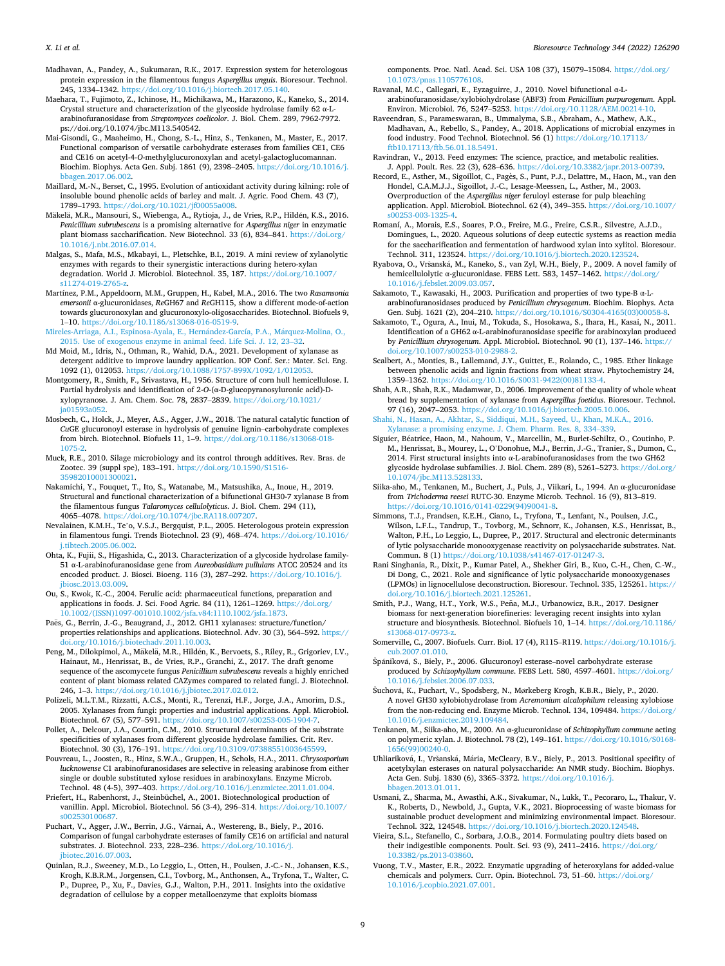- <span id="page-8-0"></span>Madhavan, A., Pandey, A., Sukumaran, R.K., 2017. Expression system for heterologous protein expression in the filamentous fungus *Aspergillus unguis*. Bioresour. Technol. 245, 1334–1342. [https://doi.org/10.1016/j.biortech.2017.05.140.](https://doi.org/10.1016/j.biortech.2017.05.140)
- Maehara, T., Fujimoto, Z., Ichinose, H., Michikawa, M., Harazono, K., Kaneko, S., 2014. Crystal structure and characterization of the glycoside hydrolase family 62 α-Larabinofuranosidase from *Streptomyces coelicolor*. J. Biol. Chem. 289, 7962-7972. ps://doi.org/10.1074/jbc.M113.540542.
- Mai-Gisondi, G., Maaheimo, H., Chong, S.-L., Hinz, S., Tenkanen, M., Master, E., 2017. Functional comparison of versatile carbohydrate esterases from families CE1, CE6 and CE16 on acetyl-4-*O*-methylglucuronoxylan and acetyl-galactoglucomannan. Biochim. Biophys. Acta Gen. Subj. 1861 (9), 2398–2405. [https://doi.org/10.1016/j.](https://doi.org/10.1016/j.bbagen.2017.06.002)  [bbagen.2017.06.002.](https://doi.org/10.1016/j.bbagen.2017.06.002)
- Maillard, M.-N., Berset, C., 1995. Evolution of antioxidant activity during kilning: role of insoluble bound phenolic acids of barley and malt. J. Agric. Food Chem. 43 (7), 1789–1793.<https://doi.org/10.1021/jf00055a008>.
- Mäkelä, M.R., Mansouri, S., Wiebenga, A., Rytioja, J., de Vries, R.P., Hildén, K.S., 2016. *Penicillium subrubescens* is a promising alternative for *Aspergillus niger* in enzymatic plant biomass saccharification. New Biotechnol. 33 (6), 834–841. [https://doi.org/](https://doi.org/10.1016/j.nbt.2016.07.014)  [10.1016/j.nbt.2016.07.014.](https://doi.org/10.1016/j.nbt.2016.07.014)
- Malgas, S., Mafa, M.S., Mkabayi, L., Pletschke, B.I., 2019. A mini review of xylanolytic enzymes with regards to their synergistic interactions during hetero-xylan degradation. World J. Microbiol. Biotechnol. 35, 187. [https://doi.org/10.1007/](https://doi.org/10.1007/s11274-019-2765-z)  s11274-019-2765-
- Martínez, P.M., Appeldoorn, M.M., Gruppen, H., Kabel, M.A., 2016. The two *Rasamsonia emersonii* α-glucuronidases, *Re*GH67 and *Re*GH115, show a different mode-of-action towards glucuronoxylan and glucuronoxylo-oligosaccharides. Biotechnol. Biofuels 9, 1–10. [https://doi.org/10.1186/s13068-016-0519-9.](https://doi.org/10.1186/s13068-016-0519-9)
- Mireles-Arriaga, A.I., Espinosa-Ayala, E., Hernández-García, P.A., Márquez-Molina, O., [2015. Use of exogenous enzyme in animal feed. Life Sci. J. 12, 23](http://refhub.elsevier.com/S0960-8524(21)01632-1/h0445)–32.
- Md Moid, M., Idris, N., Othman, R., Wahid, D.A., 2021. Development of xylanase as detergent additive to improve laundry application. IOP Conf. Ser.: Mater. Sci. Eng. 1092 (1), 012053. [https://doi.org/10.1088/1757-899X/1092/1/012053.](https://doi.org/10.1088/1757-899X/1092/1/012053)
- Montgomery, R., Smith, F., Srivastava, H., 1956. Structure of corn hull hemicellulose. I. Partial hydrolysis and identification of 2-*O*-(α-D-glucopyranosyluronic acid)-Dxylopyranose. J. Am. Chem. Soc. 78, 2837–2839. [https://doi.org/10.1021/](https://doi.org/10.1021/ja01593a052)  [ja01593a052.](https://doi.org/10.1021/ja01593a052)
- Mosbech, C., Holck, J., Meyer, A.S., Agger, J.W., 2018. The natural catalytic function of *Cu*GE glucuronoyl esterase in hydrolysis of genuine lignin–carbohydrate complexes from birch. Biotechnol. Biofuels 11, 1–9. [https://doi.org/10.1186/s13068-018-](https://doi.org/10.1186/s13068-018-1075-2)  [1075-2.](https://doi.org/10.1186/s13068-018-1075-2)
- Muck, R.E., 2010. Silage microbiology and its control through additives. Rev. Bras. de Zootec. 39 (suppl spe), 183–191. [https://doi.org/10.1590/S1516-](https://doi.org/10.1590/S1516-35982010001300021) [35982010001300021.](https://doi.org/10.1590/S1516-35982010001300021)
- Nakamichi, Y., Fouquet, T., Ito, S., Watanabe, M., Matsushika, A., Inoue, H., 2019. Structural and functional characterization of a bifunctional GH30-7 xylanase B from the filamentous fungus *Talaromyces cellulolyticus*. J. Biol. Chem. 294 (11), 4065–4078. [https://doi.org/10.1074/jbc.RA118.007207.](https://doi.org/10.1074/jbc.RA118.007207)
- Nevalainen, K.M.H., Te'o, V.S.J., Bergquist, P.L., 2005. Heterologous protein expression in filamentous fungi. Trends Biotechnol. 23 (9), 468–474. [https://doi.org/10.1016/](https://doi.org/10.1016/j.tibtech.2005.06.002)  [j.tibtech.2005.06.002](https://doi.org/10.1016/j.tibtech.2005.06.002).
- Ohta, K., Fujii, S., Higashida, C., 2013. Characterization of a glycoside hydrolase family-51 α-L-arabinofuranosidase gene from *Aureobasidium pullulans* ATCC 20524 and its encoded product. J. Biosci. Bioeng. 116 (3), 287–292. [https://doi.org/10.1016/j.](https://doi.org/10.1016/j.jbiosc.2013.03.009) [jbiosc.2013.03.009.](https://doi.org/10.1016/j.jbiosc.2013.03.009)
- Ou, S., Kwok, K.-C., 2004. Ferulic acid: pharmaceutical functions, preparation and applications in foods. J. Sci. Food Agric. 84 (11), 1261–1269. [https://doi.org/](https://doi.org/10.1002/(ISSN)1097-001010.1002/jsfa.v84:1110.1002/jsfa.1873) [10.1002/\(ISSN\)1097-001010.1002/jsfa.v84:1110.1002/jsfa.1873.](https://doi.org/10.1002/(ISSN)1097-001010.1002/jsfa.v84:1110.1002/jsfa.1873)
- Paës, G., Berrin, J.-G., Beaugrand, J., 2012. GH11 xylanases: structure/function/ properties relationships and applications. Biotechnol. Adv. 30 (3), 564–592. [https://](https://doi.org/10.1016/j.biotechadv.2011.10.003)  [doi.org/10.1016/j.biotechadv.2011.10.003.](https://doi.org/10.1016/j.biotechadv.2011.10.003)
- Peng, M., Dilokpimol, A., Mäkelä, M.R., Hildén, K., Bervoets, S., Riley, R., Grigoriev, I.V., Hainaut, M., Henrissat, B., de Vries, R.P., Granchi, Z., 2017. The draft genome sequence of the ascomycete fungus *Penicillium subrubescens* reveals a highly enriched content of plant biomass related CAZymes compared to related fungi. J. Biotechnol. 246, 1–3. [https://doi.org/10.1016/j.jbiotec.2017.02.012.](https://doi.org/10.1016/j.jbiotec.2017.02.012)
- Polizeli, M.L.T.M., Rizzatti, A.C.S., Monti, R., Terenzi, H.F., Jorge, J.A., Amorim, D.S., 2005. Xylanases from fungi: properties and industrial applications. Appl. Microbiol. Biotechnol. 67 (5), 577-591. https://doi.org/10.1007/s00253-005-1
- Pollet, A., Delcour, J.A., Courtin, C.M., 2010. Structural determinants of the substrate specificities of xylanases from different glycoside hydrolase families. Crit. Rev. Biotechnol. 30 (3), 176–191. [https://doi.org/10.3109/07388551003645599.](https://doi.org/10.3109/07388551003645599)
- Pouvreau, L., Joosten, R., Hinz, S.W.A., Gruppen, H., Schols, H.A., 2011. *Chrysosporium lucknowense* C1 arabinofuranosidases are selective in releasing arabinose from either single or double substituted xylose residues in arabinoxylans. Enzyme Microb. Technol. 48 (4-5), 397–403. <https://doi.org/10.1016/j.enzmictec.2011.01.004>.
- Priefert, H., Rabenhorst, J., Steinbüchel, A., 2001. Biotechnological production of vanillin. Appl. Microbiol. Biotechnol. 56 (3-4), 296–314. [https://doi.org/10.1007/](https://doi.org/10.1007/s002530100687) 00253010068
- Puchart, V., Agger, J.W., Berrin, J.G., Várnai, A., Westereng, B., Biely, P., 2016. Comparison of fungal carbohydrate esterases of family CE16 on artificial and natural substrates. J. Biotechnol. 233, 228–236. [https://doi.org/10.1016/j.](https://doi.org/10.1016/j.jbiotec.2016.07.003) [jbiotec.2016.07.003](https://doi.org/10.1016/j.jbiotec.2016.07.003).
- Quinlan, R.J., Sweeney, M.D., Lo Leggio, L., Otten, H., Poulsen, J.-C.- N., Johansen, K.S., Krogh, K.B.R.M., Jorgensen, C.I., Tovborg, M., Anthonsen, A., Tryfona, T., Walter, C. P., Dupree, P., Xu, F., Davies, G.J., Walton, P.H., 2011. Insights into the oxidative degradation of cellulose by a copper metalloenzyme that exploits biomass

components. Proc. Natl. Acad. Sci. USA 108 (37), 15079–15084. [https://doi.org/](https://doi.org/10.1073/pnas.1105776108) [10.1073/pnas.1105776108.](https://doi.org/10.1073/pnas.1105776108)

- Ravanal, M.C., Callegari, E., Eyzaguirre, J., 2010. Novel bifunctional α-Larabinofuranosidase/xylobiohydrolase (ABF3) from *Penicillium purpurogenum*. Appl. Environ. Microbiol. 76, 5247–5253. <https://doi.org/10.1128/AEM.00214-10>.
- Raveendran, S., Parameswaran, B., Ummalyma, S.B., Abraham, A., Mathew, A.K., Madhavan, A., Rebello, S., Pandey, A., 2018. Applications of microbial enzymes in food industry. Food Technol. Biotechnol. 56 (1) https://doi.org/10.17113 [ftb10.17113/ftb.56.01.18.5491](https://doi.org/10.17113/ftb10.17113/ftb.56.01.18.5491).
- Ravindran, V., 2013. Feed enzymes: The science, practice, and metabolic realities. J. Appl. Poult. Res. 22 (3), 628–636. [https://doi.org/10.3382/japr.2013-00739.](https://doi.org/10.3382/japr.2013-00739)
- Record, E., Asther, M., Sigoillot, C., Pagès, S., Punt, P.J., Delattre, M., Haon, M., van den Hondel, C.A.M.J.J., Sigoillot, J.-C., Lesage-Meessen, L., Asther, M., 2003. Overproduction of the *Aspergillus niger* feruloyl esterase for pulp bleaching application. Appl. Microbiol. Biotechnol. 62 (4), 349–355. [https://doi.org/10.1007/](https://doi.org/10.1007/s00253-003-1325-4)  ..<br>0**0253-003-132**
- Romaní, A., Morais, E.S., Soares, P.O., Freire, M.G., Freire, C.S.R., Silvestre, A.J.D., Domingues, L., 2020. Aqueous solutions of deep eutectic systems as reaction media for the saccharification and fermentation of hardwood xylan into xylitol. Bioresour. Technol. 311, 123524. <https://doi.org/10.1016/j.biortech.2020.123524>.
- Ryabova, O., Vršanská, M., Kaneko, S., van Zyl, W.H., Biely, P., 2009. A novel family of hemicellulolytic α-glucuronidase. FEBS Lett. 583, 1457–1462. [https://doi.org/](https://doi.org/10.1016/j.febslet.2009.03.057)  [10.1016/j.febslet.2009.03.057.](https://doi.org/10.1016/j.febslet.2009.03.057)
- Sakamoto, T., Kawasaki, H., 2003. Purification and properties of two type-B α-Larabinofuranosidases produced by *Penicillium chrysogenum*. Biochim. Biophys. Acta Gen. Subj. 1621 (2), 204–210. [https://doi.org/10.1016/S0304-4165\(03\)00058-8.](https://doi.org/10.1016/S0304-4165(03)00058-8)
- Sakamoto, T., Ogura, A., Inui, M., Tokuda, S., Hosokawa, S., Ihara, H., Kasai, N., 2011. Identification of a GH62 α-L-arabinofuranosidase specific for arabinoxylan produced by *Penicillium chrysogenum*. Appl. Microbiol. Biotechnol. 90 (1), 137–146. [https://](https://doi.org/10.1007/s00253-010-2988-2) [doi.org/10.1007/s00253-010-2988-2.](https://doi.org/10.1007/s00253-010-2988-2)
- Scalbert, A., Monties, B., Lallemand, J.Y., Guittet, E., Rolando, C., 1985. Ether linkage between phenolic acids and lignin fractions from wheat straw. Phytochemistry 24, 1359–1362. [https://doi.org/10.1016/S0031-9422\(00\)81133-4.](https://doi.org/10.1016/S0031-9422(00)81133-4)
- Shah, A.R., Shah, R.K., Madamwar, D., 2006. Improvement of the quality of whole wheat bread by supplementation of xylanase from *Aspergillus foetidus*. Bioresour. Technol. 97 (16), 2047–2053. <https://doi.org/10.1016/j.biortech.2005.10.006>.
- [Shahi, N., Hasan, A., Akhtar, S., Siddiqui, M.H., Sayeed, U., Khan, M.K.A., 2016.](http://refhub.elsevier.com/S0960-8524(21)01632-1/h0580) [Xylanase: a promising enzyme. J. Chem. Pharm. Res. 8, 334](http://refhub.elsevier.com/S0960-8524(21)01632-1/h0580)–339.
- Siguier, Béatrice, Haon, M., Nahoum, V., Marcellin, M., Burlet-Schiltz, O., Coutinho, P. M., Henrissat, B., Mourey, L., O'Donohue, M.J., Berrin, J.-G., Tranier, S., Dumon, C., 2014. First structural insights into  $\alpha$ -L-arabinofuranosidases from the two GH62 glycoside hydrolase subfamilies. J. Biol. Chem. 289 (8), 5261–5273. [https://doi.org/](https://doi.org/10.1074/jbc.M113.528133)  [10.1074/jbc.M113.528133.](https://doi.org/10.1074/jbc.M113.528133)
- Siika-aho, M., Tenkanen, M., Buchert, J., Puls, J., Viikari, L., 1994. An α-glucuronidase from *Trichoderma reesei* RUTC-30. Enzyme Microb. Technol. 16 (9), 813–819. [https://doi.org/10.1016/0141-0229\(94\)90041-8.](https://doi.org/10.1016/0141-0229(94)90041-8)
- Simmons, T.J., Frandsen, K.E.H., Ciano, L., Tryfona, T., Lenfant, N., Poulsen, J.C., Wilson, L.F.L., Tandrup, T., Tovborg, M., Schnorr, K., Johansen, K.S., Henrissat, B., Walton, P.H., Lo Leggio, L., Dupree, P., 2017. Structural and electronic determinants of lytic polysaccharide monooxygenase reactivity on polysaccharide substrates. Nat. Commun. 8 (1) [https://doi.org/10.1038/s41467-017-01247-3.](https://doi.org/10.1038/s41467-017-01247-3)
- Rani Singhania, R., Dixit, P., Kumar Patel, A., Shekher Giri, B., Kuo, C.-H., Chen, C.-W., Di Dong, C., 2021. Role and significance of lytic polysaccharide monooxygenases (LPMOs) in lignocellulose deconstruction. Bioresour. Technol. 335, 125261. [https://](https://doi.org/10.1016/j.biortech.2021.125261)  [doi.org/10.1016/j.biortech.2021.125261.](https://doi.org/10.1016/j.biortech.2021.125261)
- Smith, P.J., Wang, H.T., York, W.S., Peña, M.J., Urbanowicz, B.R., 2017. Designer biomass for next-generation biorefineries: leveraging recent insights into xylan structure and biosynthesis. Biotechnol. Biofuels 10, 1–14. [https://doi.org/10.1186/](https://doi.org/10.1186/s13068-017-0973-z)  [s13068-017-0973-z](https://doi.org/10.1186/s13068-017-0973-z).
- Somerville, C., 2007. Biofuels. Curr. Biol. 17 (4), R115–R119. [https://doi.org/10.1016/j.](https://doi.org/10.1016/j.cub.2007.01.010)  [cub.2007.01.010](https://doi.org/10.1016/j.cub.2007.01.010).
- Špániková, S., Biely, P., 2006. Glucuronoyl esterase-novel carbohydrate esterase produced by *Schizophyllum commune*. FEBS Lett. 580, 4597–4601. [https://doi.org/](https://doi.org/10.1016/j.febslet.2006.07.033) [10.1016/j.febslet.2006.07.033.](https://doi.org/10.1016/j.febslet.2006.07.033)
- Šuchová, K., Puchart, V., Spodsberg, N., Mørkeberg Krogh, K.B.R., Biely, P., 2020. A novel GH30 xylobiohydrolase from *Acremonium alcalophilum* releasing xylobiose from the non-reducing end. Enzyme Microb. Technol. 134, 109484. [https://doi.org/](https://doi.org/10.1016/j.enzmictec.2019.109484)  [10.1016/j.enzmictec.2019.109484](https://doi.org/10.1016/j.enzmictec.2019.109484).
- Tenkanen, M., Siika-aho, M., 2000. An α-glucuronidase of *Schizophyllum commune* acting on polymeric xylan. J. Biotechnol. 78 (2), 149–161. [https://doi.org/10.1016/S0168-](https://doi.org/10.1016/S0168-1656(99)00240-0)  [1656\(99\)00240-0](https://doi.org/10.1016/S0168-1656(99)00240-0).
- Uhliariková, I., Vršanská, Mária, McCleary, B.V., Biely, P., 2013. Positional specifity of acetylxylan esterases on natural polysaccharide: An NMR study. Biochim. Biophys. Acta Gen. Subj. 1830 (6), 3365–3372. [https://doi.org/10.1016/j.](https://doi.org/10.1016/j.bbagen.2013.01.011)  [bbagen.2013.01.011.](https://doi.org/10.1016/j.bbagen.2013.01.011)
- Usmani, Z., Sharma, M., Awasthi, A.K., Sivakumar, N., Lukk, T., Pecoraro, L., Thakur, V. K., Roberts, D., Newbold, J., Gupta, V.K., 2021. Bioprocessing of waste biomass for sustainable product development and minimizing environmental impact. Bioresour. Technol. 322, 124548. <https://doi.org/10.1016/j.biortech.2020.124548>.
- Vieira, S.L., Stefanello, C., Sorbara, J.O.B., 2014. Formulating poultry diets based on their indigestible components. Poult. Sci. 93 (9), 2411-2416. https://doi.org [10.3382/ps.2013-03860](https://doi.org/10.3382/ps.2013-03860).
- Vuong, T.V., Master, E.R., 2022. Enzymatic upgrading of heteroxylans for added-value chemicals and polymers. Curr. Opin. Biotechnol. 73, 51–60. [https://doi.org/](https://doi.org/10.1016/j.copbio.2021.07.001)  [10.1016/j.copbio.2021.07.001](https://doi.org/10.1016/j.copbio.2021.07.001).